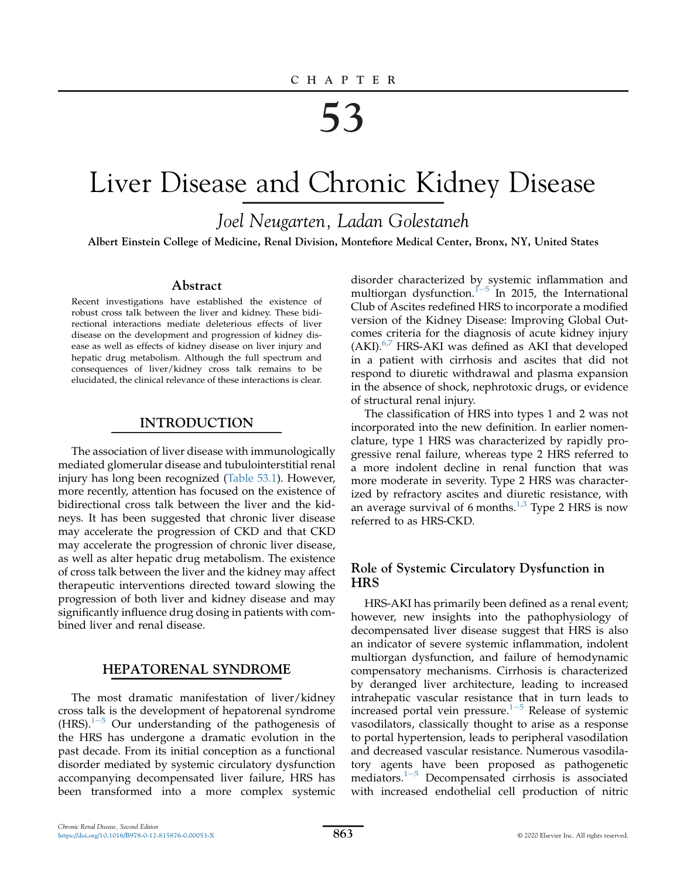# 53

## Liver Disease and Chronic Kidney Disease

Joel Neugarten, Ladan Golestaneh

Albert Einstein College of Medicine, Renal Division, Montefiore Medical Center, Bronx, NY, United States

### Abstract

Recent investigations have established the existence of robust cross talk between the liver and kidney. These bidirectional interactions mediate deleterious effects of liver disease on the development and progression of kidney disease as well as effects of kidney disease on liver injury and hepatic drug metabolism. Although the full spectrum and consequences of liver/kidney cross talk remains to be elucidated, the clinical relevance of these interactions is clear.

### INTRODUCTION

The association of liver disease with immunologically mediated glomerular disease and tubulointerstitial renal injury has long been recognized ([Table 53.1\)](#page-1-0). However, more recently, attention has focused on the existence of bidirectional cross talk between the liver and the kidneys. It has been suggested that chronic liver disease may accelerate the progression of CKD and that CKD may accelerate the progression of chronic liver disease, as well as alter hepatic drug metabolism. The existence of cross talk between the liver and the kidney may affect therapeutic interventions directed toward slowing the progression of both liver and kidney disease and may significantly influence drug dosing in patients with combined liver and renal disease.

### HEPATORENAL SYNDROME

The most dramatic manifestation of liver/kidney cross talk is the development of hepatorenal syndrome  $(HRS).<sup>1–5</sup>$  Our und[e](#page-12-0)rstanding of the pathogenesis of the HRS has undergone a dramatic evolution in the past decade. From its initial conception as a functional disorder mediated by systemic circulatory dysfunction accompanying decompensated liver failure, HRS has been transformed into a more complex systemic

disorder characterized by systemic inflammation and multiorgan dysfunction.<sup>1–5</sup> In 2015, th[e](#page-12-0) International Club of Ascites redefined HRS to incorporate a modified version of the Kidney Disease: Improving Global Outcomes criteria for the diagnosis of acute kidney injury  $(AKI).<sup>6,7</sup> HRS-AKI was defined as AKI that developed$  $(AKI).<sup>6,7</sup> HRS-AKI was defined as AKI that developed$  $(AKI).<sup>6,7</sup> HRS-AKI was defined as AKI that developed$ in a patient with cirrhosis and ascites that did not respond to diuretic withdrawal and plasma expansion in the absence of shock, nephrotoxic drugs, or evidence of structural renal injury.

The classification of HRS into types 1 and 2 was not incorporated into the new definition. In earlier nomenclature, type 1 HRS was characterized by rapidly progressive renal failure, whereas type 2 HRS referred to a more indolent decline in renal function that was more moderate in severity. Type 2 HRS was characterized by refractory ascites and diuretic resistance, with an average survival of 6 months. $1,3$  Type 2 HRS is now referred to as HRS-CKD.

### Role of Systemic Circulatory Dysfunction in **HRS**

HRS-AKI has primarily been defined as a renal event; however, new insights into the pathophysiology of decompensated liver disease suggest that HRS is also an indicator of severe systemic inflammation, indolent multiorgan dysfunction, and failure of hemodynamic compensatory mechanisms. Cirrhosis is characterized by deranged liver architecture, leading to increased intrahepatic vascular resistance that in turn leads to increased portal vein pressure. $1-5$  $1-5$  Release of systemic vasodilators, classically thought to arise as a response to portal hypertension, leads to peripheral vasodilation and decreased vascular resistance. Numerous vasodilatory agents have been proposed as pathogenetic m[e](#page-12-0)diators. $1-5$  Decompensated cirrhosis is associated with increased endothelial cell production of nitric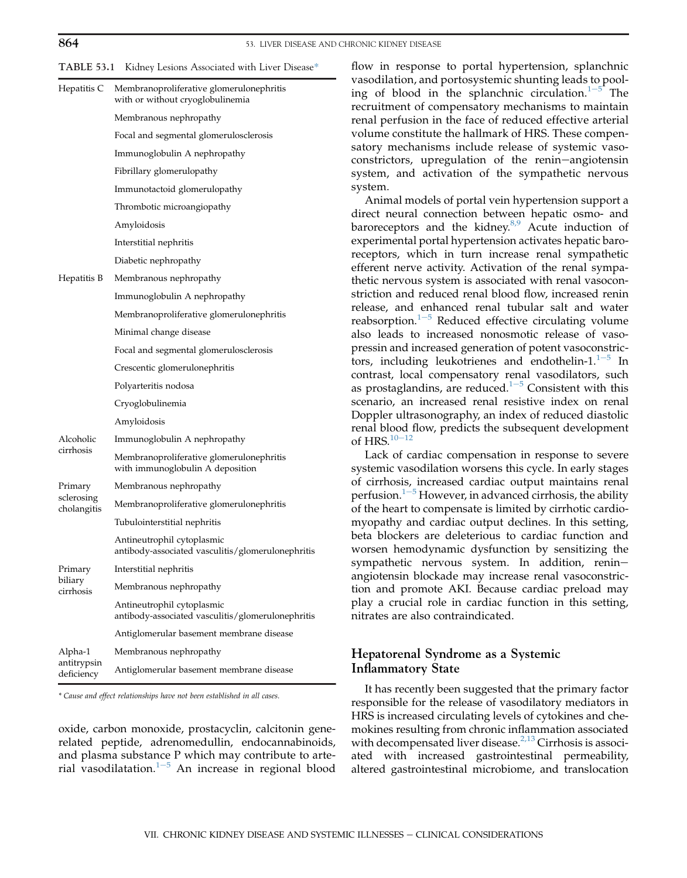<span id="page-1-0"></span>

| <b>TABLE 53.1</b><br>Kidney Lesions Associated with Liver Disease* |                                                                                 |
|--------------------------------------------------------------------|---------------------------------------------------------------------------------|
| Hepatitis C                                                        | Membranoproliferative glomerulonephritis<br>with or without cryoglobulinemia    |
|                                                                    | Membranous nephropathy                                                          |
|                                                                    | Focal and segmental glomerulosclerosis                                          |
|                                                                    | Immunoglobulin A nephropathy                                                    |
|                                                                    | Fibrillary glomerulopathy                                                       |
|                                                                    | Immunotactoid glomerulopathy                                                    |
|                                                                    | Thrombotic microangiopathy                                                      |
|                                                                    | Amyloidosis                                                                     |
|                                                                    | Interstitial nephritis                                                          |
|                                                                    | Diabetic nephropathy                                                            |
| Hepatitis B                                                        | Membranous nephropathy                                                          |
|                                                                    | Immunoglobulin A nephropathy                                                    |
|                                                                    | Membranoproliferative glomerulonephritis                                        |
|                                                                    | Minimal change disease                                                          |
|                                                                    | Focal and segmental glomerulosclerosis                                          |
|                                                                    | Crescentic glomerulonephritis                                                   |
|                                                                    | Polyarteritis nodosa                                                            |
|                                                                    | Cryoglobulinemia                                                                |
|                                                                    | Amyloidosis                                                                     |
| Alcoholic<br>cirrhosis                                             | Immunoglobulin A nephropathy                                                    |
|                                                                    | Membranoproliferative glomerulonephritis<br>with immunoglobulin A deposition    |
| Primary<br>sclerosing<br>cholangitis                               | Membranous nephropathy                                                          |
|                                                                    | Membranoproliferative glomerulonephritis                                        |
|                                                                    | Tubulointerstitial nephritis                                                    |
|                                                                    | Antineutrophil cytoplasmic<br>antibody-associated vasculitis/glomerulonephritis |
| Primary<br>biliary<br>cirrhosis                                    | Interstitial nephritis                                                          |
|                                                                    | Membranous nephropathy                                                          |
|                                                                    | Antineutrophil cytoplasmic<br>antibody-associated vasculitis/glomerulonephritis |
|                                                                    | Antiglomerular basement membrane disease                                        |
| Alpha-1<br>antitrypsin<br>deficiency                               | Membranous nephropathy                                                          |
|                                                                    | Antiglomerular basement membrane disease                                        |

\* Cause and effect relationships have not been established in all cases.

oxide, carbon monoxide, prostacyclin, calcitonin generelated peptide, adrenomedullin, endocannabinoids, and plasma substance P which may contribute to arterial vasodilatation. $1-5$  An incr[e](#page-12-0)ase in regional blood flow in response to portal hypertension, splanchnic vasodilation, and portosystemic shunting leads to pooling of blood in th[e](#page-12-0) splanchnic circulation. $1-\frac{5}{5}$  The recruitment of compensatory mechanisms to maintain renal perfusion in the face of reduced effective arterial volume constitute the hallmark of HRS. These compensatory mechanisms include release of systemic vasoconstrictors, upregulation of the renin-angiotensin system, and activation of the sympathetic nervous system.

Animal models of portal vein hypertension support a direct neural connection between hepatic osmo- and baroreceptors and the kidney. $8.9$  Acute induction of experimental portal hypertension activates hepatic baroreceptors, which in turn increase renal sympathetic efferent nerve activity. Activation of the renal sympathetic nervous system is associated with renal vasoconstriction and reduced renal blood flow, increased renin release, and enhanced renal tubular salt and water r[e](#page-12-0)absorption. $1-5$  Reduced effective circulating volume also leads to increased nonosmotic release of vasopressin and increased generation of potent vasoconstrictors, including l[e](#page-12-0)ukotrienes and endothelin- $1.^{1-5}$  In contrast, local compensatory renal vasodilators, such as prostaglandins, are reduced. $1-5$  $1-5$  Consistent with this scenario, an increased renal resistive index on renal Doppler ultrasonography, an index of reduced diastolic renal blood flow, predicts the subsequent development of HRS. $10-12$  $10-12$ 

Lack of cardiac compensation in response to severe systemic vasodilation worsens this cycle. In early stages of cirrhosis, increased cardiac output maintains renal p[e](#page-12-0)rfusion.<sup>1-5</sup> However, in advanced cirrhosis, the ability of the heart to compensate is limited by cirrhotic cardiomyopathy and cardiac output declines. In this setting, beta blockers are deleterious to cardiac function and worsen hemodynamic dysfunction by sensitizing the sympathetic nervous system. In addition, reninangiotensin blockade may increase renal vasoconstriction and promote AKI. Because cardiac preload may play a crucial role in cardiac function in this setting, nitrates are also contraindicated.

### Hepatorenal Syndrome as a Systemic Inflammatory State

It has recently been suggested that the primary factor responsible for the release of vasodilatory mediators in HRS is increased circulating levels of cytokines and chemokines resulting from chronic inflammation associated with decompensated liver disease. $2,13$  Cirrhosis is associated with increased gastrointestinal permeability, altered gastrointestinal microbiome, and translocation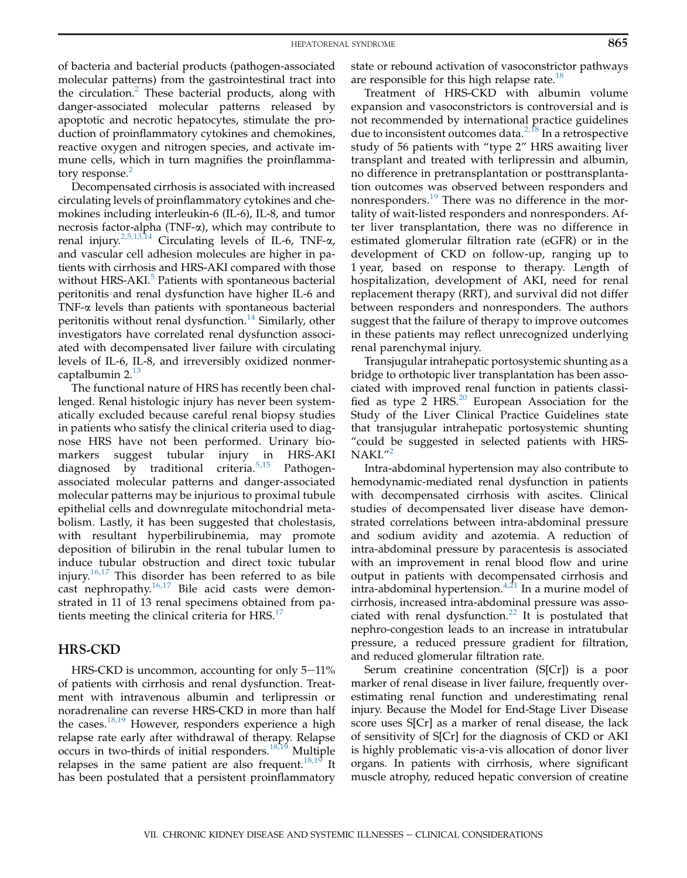of bacteria and bacterial products (pathogen-associated molecular patterns) from the gastrointestinal tract into the circulation. $\frac{2}{3}$  $\frac{2}{3}$  $\frac{2}{3}$  These bacterial products, along with danger-associated molecular patterns released by apoptotic and necrotic hepatocytes, stimulate the production of proinflammatory cytokines and chemokines, reactive oxygen and nitrogen species, and activate immune cells, which in turn magnifies the proinflammatory response. $\overline{2}$  $\overline{2}$  $\overline{2}$ 

Decompensated cirrhosis is associated with increased circulating levels of proinflammatory cytokines and chemokines including interleukin-6 (IL-6), IL-8, and tumor necrosis factor-alpha (TNF- $\alpha$ ), which may contribute to renal injury.<sup>[2,5,13,14](#page-12-0)</sup> Circulating levels of IL-6, TNF- $\alpha$ , and vascular cell adhesion molecules are higher in patients with cirrhosis and HRS-AKI compared with those without HRS-AKI. $5$  Patients with spontaneous bacterial peritonitis and renal dysfunction have higher IL-6 and TNF- $\alpha$  levels than patients with spontaneous bacterial peritonitis without renal dysfunction.<sup>[14](#page-12-0)</sup> Similarly, other investigators have correlated renal dysfunction associated with decompensated liver failure with circulating levels of IL-6, IL-8, and irreversibly oxidized nonmercaptalbumin  $2.<sup>13</sup>$  $2.<sup>13</sup>$  $2.<sup>13</sup>$ 

The functional nature of HRS has recently been challenged. Renal histologic injury has never been systematically excluded because careful renal biopsy studies in patients who satisfy the clinical criteria used to diagnose HRS have not been performed. Urinary biomarkers suggest tubular injury in HRS-AKI diagnosed by traditional criteria.<sup>[5,15](#page-12-0)</sup> Pathogenassociated molecular patterns and danger-associated molecular patterns may be injurious to proximal tubule epithelial cells and downregulate mitochondrial metabolism. Lastly, it has been suggested that cholestasis, with resultant hyperbilirubinemia, may promote deposition of bilirubin in the renal tubular lumen to induce tubular obstruction and direct toxic tubular injury.<sup>[16,17](#page-12-0)</sup> This disorder has been referred to as bile cast nephropathy.<sup>[16,17](#page-12-0)</sup> Bile acid casts were demonstrated in 11 of 13 renal specimens obtained from patients meeting the clinical criteria for  $HRS<sup>17</sup>$ 

### HRS-CKD

HRS-CKD is uncommon, accounting for only  $5-11\%$ of patients with cirrhosis and renal dysfunction. Treatment with intravenous albumin and terlipressin or noradrenaline can reverse HRS-CKD in more than half the cases.<sup>[18,19](#page-12-0)</sup> However, responders experience a high relapse rate early after withdrawal of therapy. Relapse occurs in two-thirds of initial responders.[18,19](#page-12-0) Multiple relapses in the same patient are also frequent.<sup>[18,19](#page-12-0)</sup> It has been postulated that a persistent proinflammatory

state or rebound activation of vasoconstrictor pathways are responsible for this high relapse rate.<sup>[18](#page-12-0)</sup>

Treatment of HRS-CKD with albumin volume expansion and vasoconstrictors is controversial and is not recommended by international practice guidelines due to inconsistent outcomes data. $^{2,18}$  $^{2,18}$  $^{2,18}$  In a retrospective study of 56 patients with "type 2" HRS awaiting liver transplant and treated with terlipressin and albumin, no difference in pretransplantation or posttransplantation outcomes was observed between responders and nonresponders.<sup>[19](#page-12-0)</sup> There was no difference in the mortality of wait-listed responders and nonresponders. After liver transplantation, there was no difference in estimated glomerular filtration rate (eGFR) or in the development of CKD on follow-up, ranging up to 1 year, based on response to therapy. Length of hospitalization, development of AKI, need for renal replacement therapy (RRT), and survival did not differ between responders and nonresponders. The authors suggest that the failure of therapy to improve outcomes in these patients may reflect unrecognized underlying renal parenchymal injury.

Transjugular intrahepatic portosystemic shunting as a bridge to orthotopic liver transplantation has been associated with improved renal function in patients classified as type 2  $HRS<sup>20</sup>$  $HRS<sup>20</sup>$  $HRS<sup>20</sup>$  European Association for the Study of the Liver Clinical Practice Guidelines state that transjugular intrahepatic portosystemic shunting "could be suggested in selected patients with HRS-NAKI."<sup>2</sup>

Intra-abdominal hypertension may also contribute to hemodynamic-mediated renal dysfunction in patients with decompensated cirrhosis with ascites. Clinical studies of decompensated liver disease have demonstrated correlations between intra-abdominal pressure and sodium avidity and azotemia. A reduction of intra-abdominal pressure by paracentesis is associated with an improvement in renal blood flow and urine output in patients with decompensated cirrhosis and intra-abdominal hypertension. $4,21$  In a murine model of cirrhosis, increased intra-abdominal pressure was asso-ciated with renal dysfunction.<sup>[22](#page-13-0)</sup> It is postulated that nephro-congestion leads to an increase in intratubular pressure, a reduced pressure gradient for filtration, and reduced glomerular filtration rate.

Serum creatinine concentration (S[Cr]) is a poor marker of renal disease in liver failure, frequently overestimating renal function and underestimating renal injury. Because the Model for End-Stage Liver Disease score uses S[Cr] as a marker of renal disease, the lack of sensitivity of S[Cr] for the diagnosis of CKD or AKI is highly problematic vis-a-vis allocation of donor liver organs. In patients with cirrhosis, where significant muscle atrophy, reduced hepatic conversion of creatine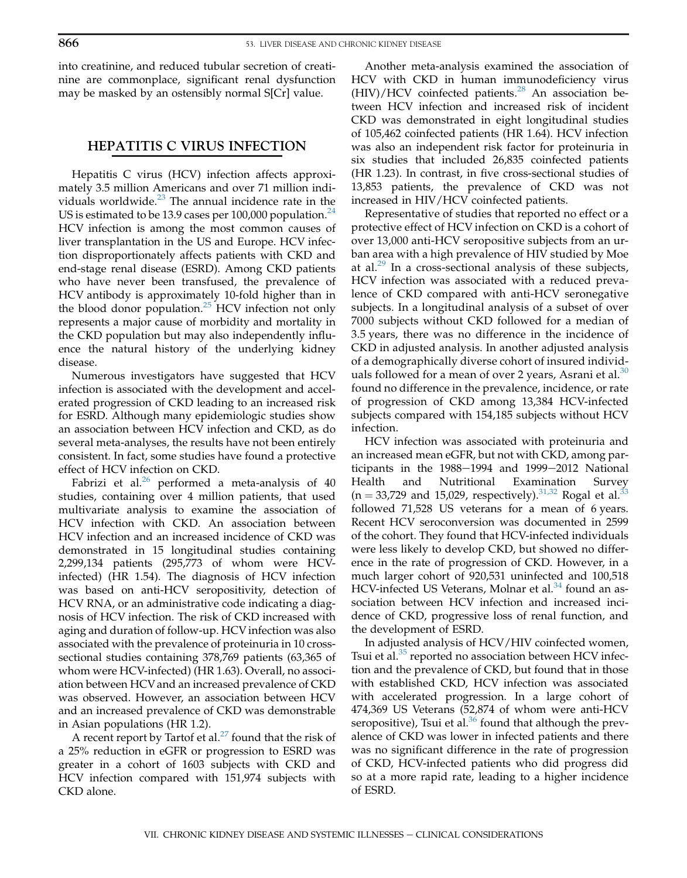into creatinine, and reduced tubular secretion of creatinine are commonplace, significant renal dysfunction may be masked by an ostensibly normal S[Cr] value.

### HEPATITIS C VIRUS INFECTION

Hepatitis C virus (HCV) infection affects approximately 3.5 million Americans and over 71 million individuals worldwide. $^{23}$  $^{23}$  $^{23}$  The annual incidence rate in the US is estimated to be 13.9 cases per 100,000 population.<sup>[24](#page-13-0)</sup> HCV infection is among the most common causes of liver transplantation in the US and Europe. HCV infection disproportionately affects patients with CKD and end-stage renal disease (ESRD). Among CKD patients who have never been transfused, the prevalence of HCV antibody is approximately 10-fold higher than in the blood donor population. $25$  HCV infection not only represents a major cause of morbidity and mortality in the CKD population but may also independently influence the natural history of the underlying kidney disease.

Numerous investigators have suggested that HCV infection is associated with the development and accelerated progression of CKD leading to an increased risk for ESRD. Although many epidemiologic studies show an association between HCV infection and CKD, as do several meta-analyses, the results have not been entirely consistent. In fact, some studies have found a protective effect of HCV infection on CKD.

Fabrizi et al. $26$  performed a meta-analysis of 40 studies, containing over 4 million patients, that used multivariate analysis to examine the association of HCV infection with CKD. An association between HCV infection and an increased incidence of CKD was demonstrated in 15 longitudinal studies containing 2,299,134 patients (295,773 of whom were HCVinfected) (HR 1.54). The diagnosis of HCV infection was based on anti-HCV seropositivity, detection of HCV RNA, or an administrative code indicating a diagnosis of HCV infection. The risk of CKD increased with aging and duration of follow-up. HCV infection was also associated with the prevalence of proteinuria in 10 crosssectional studies containing 378,769 patients (63,365 of whom were HCV-infected) (HR 1.63). Overall, no association between HCV and an increased prevalence of CKD was observed. However, an association between HCV and an increased prevalence of CKD was demonstrable in Asian populations (HR 1.2).

A recent report by Tartof et al.<sup>[27](#page-13-0)</sup> found that the risk of a 25% reduction in eGFR or progression to ESRD was greater in a cohort of 1603 subjects with CKD and HCV infection compared with 151,974 subjects with CKD alone.

Another meta-analysis examined the association of HCV with CKD in human immunodeficiency virus  $(HIV)/HCV$  coinfected patients.<sup>[28](#page-13-0)</sup> An association between HCV infection and increased risk of incident CKD was demonstrated in eight longitudinal studies of 105,462 coinfected patients (HR 1.64). HCV infection was also an independent risk factor for proteinuria in six studies that included 26,835 coinfected patients (HR 1.23). In contrast, in five cross-sectional studies of 13,853 patients, the prevalence of CKD was not increased in HIV/HCV coinfected patients.

Representative of studies that reported no effect or a protective effect of HCV infection on CKD is a cohort of over 13,000 anti-HCV seropositive subjects from an urban area with a high prevalence of HIV studied by Moe at al.<sup>[29](#page-13-0)</sup> In a cross-sectional analysis of these subjects, HCV infection was associated with a reduced prevalence of CKD compared with anti-HCV seronegative subjects. In a longitudinal analysis of a subset of over 7000 subjects without CKD followed for a median of 3.5 years, there was no difference in the incidence of CKD in adjusted analysis. In another adjusted analysis of a demographically diverse cohort of insured individuals followed for a mean of over 2 years, Asrani et al. $30$ found no difference in the prevalence, incidence, or rate of progression of CKD among 13,384 HCV-infected subjects compared with 154,185 subjects without HCV infection.

HCV infection was associated with proteinuria and an increased mean eGFR, but not with CKD, among participants in the  $1988-1994$  and  $1999-2012$  National Health and Nutritional Examination Survey  $(n = 33,729 \text{ and } 15,029, \text{ respectively})$  $(n = 33,729 \text{ and } 15,029, \text{ respectively})$  $(n = 33,729 \text{ and } 15,029, \text{ respectively})$ .  $^{31,32}$  $^{31,32}$  $^{31,32}$  Rogal et al.<sup>33</sup> followed 71,528 US veterans for a mean of 6 years. Recent HCV seroconversion was documented in 2599 of the cohort. They found that HCV-infected individuals were less likely to develop CKD, but showed no difference in the rate of progression of CKD. However, in a much larger cohort of 920,531 uninfected and 100,518 HCV-infected US Veterans, Molnar et al.<sup>[34](#page-13-0)</sup> found an association between HCV infection and increased incidence of CKD, progressive loss of renal function, and the development of ESRD.

In adjusted analysis of HCV/HIV coinfected women, Tsui et al.<sup>[35](#page-13-0)</sup> reported no association between HCV infection and the prevalence of CKD, but found that in those with established CKD, HCV infection was associated with accelerated progression. In a large cohort of 474,369 US Veterans (52,874 of whom were anti-HCV seropositive), Tsui et al. $36$  found that although the prevalence of CKD was lower in infected patients and there was no significant difference in the rate of progression of CKD, HCV-infected patients who did progress did so at a more rapid rate, leading to a higher incidence of ESRD.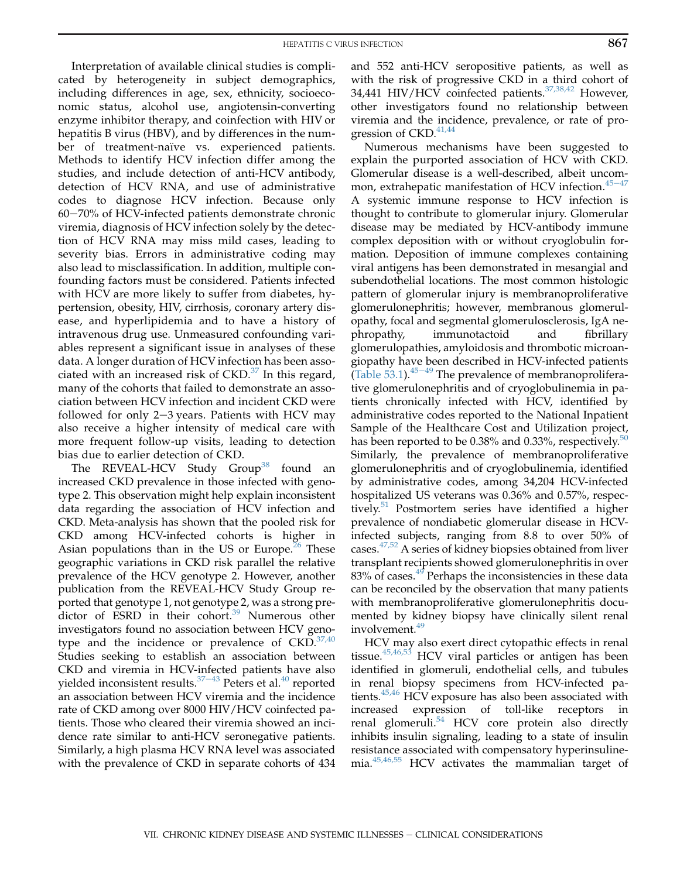Interpretation of available clinical studies is complicated by heterogeneity in subject demographics, including differences in age, sex, ethnicity, socioeconomic status, alcohol use, angiotensin-converting enzyme inhibitor therapy, and coinfection with HIV or hepatitis B virus (HBV), and by differences in the number of treatment-naïve vs. experienced patients. Methods to identify HCV infection differ among the studies, and include detection of anti-HCV antibody, detection of HCV RNA, and use of administrative codes to diagnose HCV infection. Because only  $60-70%$  of HCV-infected patients demonstrate chronic viremia, diagnosis of HCV infection solely by the detection of HCV RNA may miss mild cases, leading to severity bias. Errors in administrative coding may also lead to misclassification. In addition, multiple confounding factors must be considered. Patients infected with HCV are more likely to suffer from diabetes, hypertension, obesity, HIV, cirrhosis, coronary artery disease, and hyperlipidemia and to have a history of intravenous drug use. Unmeasured confounding variables represent a significant issue in analyses of these data. A longer duration of HCV infection has been associated with an increased risk of  $CKD<sup>37</sup>$  $CKD<sup>37</sup>$  $CKD<sup>37</sup>$  In this regard, many of the cohorts that failed to demonstrate an association between HCV infection and incident CKD were followed for only  $2-3$  years. Patients with HCV may also receive a higher intensity of medical care with more frequent follow-up visits, leading to detection bias due to earlier detection of CKD.

The REVEAL-HCV Study Group<sup>[38](#page-13-0)</sup> found an increased CKD prevalence in those infected with genotype 2. This observation might help explain inconsistent data regarding the association of HCV infection and CKD. Meta-analysis has shown that the pooled risk for CKD among HCV-infected cohorts is higher in Asian populations than in the US or Europe.<sup>[26](#page-13-0)</sup> These geographic variations in CKD risk parallel the relative prevalence of the HCV genotype 2. However, another publication from the REVEAL-HCV Study Group reported that genotype 1, not genotype 2, was a strong pre-dictor of ESRD in their cohort.<sup>[39](#page-13-0)</sup> Numerous other investigators found no association between HCV genotype and the incidence or prevalence of  $CKD^{37,40}$  $CKD^{37,40}$  $CKD^{37,40}$ Studies seeking to establish an association between CKD and viremia in HCV-infected patients have also yielded inconsistent results. $37-43$  $37-43$  Peters et al.<sup>[40](#page-13-0)</sup> reported an association between HCV viremia and the incidence rate of CKD among over 8000 HIV/HCV coinfected patients. Those who cleared their viremia showed an incidence rate similar to anti-HCV seronegative patients. Similarly, a high plasma HCV RNA level was associated with the prevalence of CKD in separate cohorts of 434

and 552 anti-HCV seropositive patients, as well as with the risk of progressive CKD in a third cohort of 34,441 HIV/HCV coinfected patients.<sup>[37,38,42](#page-13-0)</sup> However, other investigators found no relationship between viremia and the incidence, prevalence, or rate of progression of  $CKD.<sup>41,44</sup>$  $CKD.<sup>41,44</sup>$  $CKD.<sup>41,44</sup>$ 

Numerous mechanisms have been suggested to explain the purported association of HCV with CKD. Glomerular disease is a well-described, albeit un[com](#page-13-0)mon, extrahepatic manifestation of HCV infection. $45-47$ A systemic immune response to HCV infection is thought to contribute to glomerular injury. Glomerular disease may be mediated by HCV-antibody immune complex deposition with or without cryoglobulin formation. Deposition of immune complexes containing viral antigens has been demonstrated in mesangial and subendothelial locations. The most common histologic pattern of glomerular injury is membranoproliferative glomerulonephritis; however, membranous glomerulopathy, focal and segmental glomerulosclerosis, IgA nephropathy, immunotactoid and fibrillary glomerulopathies, amyloidosis and thrombotic microangiopathy have been described in HCV-infected patients (Table  $53.1$ ).<sup>45-[49](#page-13-0)</sup> The prevalence of membranoproliferative glomerulonephritis and of cryoglobulinemia in patients chronically infected with HCV, identified by administrative codes reported to the National Inpatient Sample of the Healthcare Cost and Utilization project, has been reported to be 0.38% and 0.33%, respectively.<sup>[50](#page-13-0)</sup> Similarly, the prevalence of membranoproliferative glomerulonephritis and of cryoglobulinemia, identified by administrative codes, among 34,204 HCV-infected hospitalized US veterans was 0.36% and 0.57%, respec-tively.<sup>[51](#page-13-0)</sup> Postmortem series have identified a higher prevalence of nondiabetic glomerular disease in HCVinfected subjects, ranging from 8.8 to over 50% of cases.[47,52](#page-13-0) A series of kidney biopsies obtained from liver transplant recipients showed glomerulonephritis in over 83% of cases.<sup>[49](#page-13-0)</sup> Perhaps the inconsistencies in these data can be reconciled by the observation that many patients with membranoproliferative glomerulonephritis documented by kidney biopsy have clinically silent renal involvement.<sup>[49](#page-13-0)</sup>

HCV may also exert direct cytopathic effects in renal tissue.<sup>[45,46,53](#page-13-0)</sup> HCV viral particles or antigen has been identified in glomeruli, endothelial cells, and tubules in renal biopsy specimens from HCV-infected patients. $45,46$  HCV exposure has also been associated with increased expression of toll-like receptors in renal glomeruli.<sup>[54](#page-13-0)</sup> HCV core protein also directly inhibits insulin signaling, leading to a state of insulin resistance associated with compensatory hyperinsulinemia.[45,46,55](#page-13-0) HCV activates the mammalian target of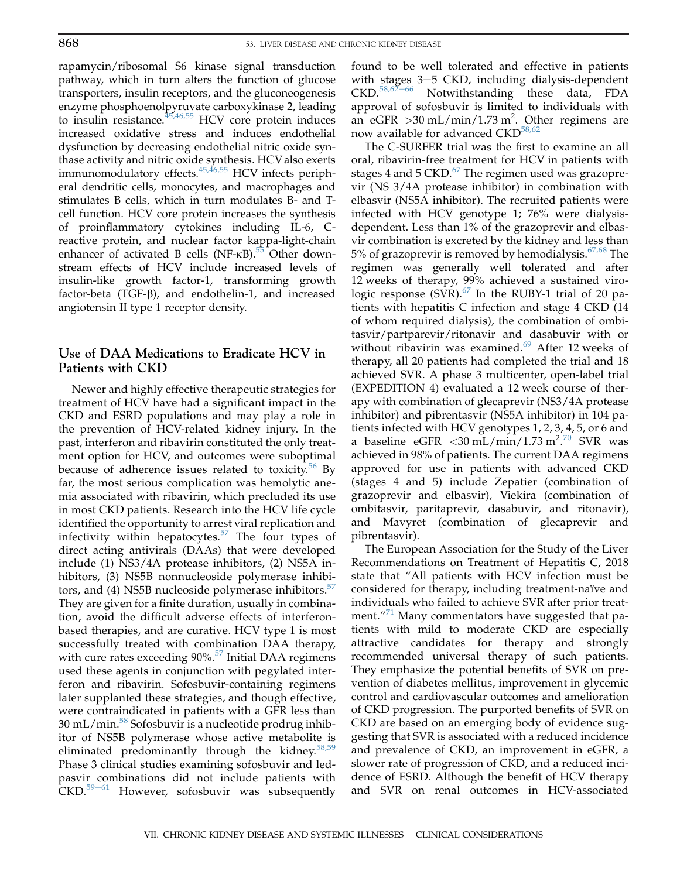rapamycin/ribosomal S6 kinase signal transduction pathway, which in turn alters the function of glucose transporters, insulin receptors, and the gluconeogenesis enzyme phosphoenolpyruvate carboxykinase 2, leading to insulin resistance.<sup>[45,46,55](#page-13-0)</sup> HCV core protein induces increased oxidative stress and induces endothelial dysfunction by decreasing endothelial nitric oxide synthase activity and nitric oxide synthesis. HCV also exerts immunomodulatory effects.<sup>45,46,55</sup> HCV infects peripheral dendritic cells, monocytes, and macrophages and stimulates B cells, which in turn modulates B- and Tcell function. HCV core protein increases the synthesis of proinflammatory cytokines including IL-6, Creactive protein, and nuclear factor kappa-light-chain enhancer of activated B cells ( $NF$ - $\kappa$ B).<sup>[55](#page-13-0)</sup> Other downstream effects of HCV include increased levels of insulin-like growth factor-1, transforming growth factor-beta ( $TGF-\beta$ ), and endothelin-1, and increased angiotensin II type 1 receptor density.

### Use of DAA Medications to Eradicate HCV in Patients with CKD

Newer and highly effective therapeutic strategies for treatment of HCV have had a significant impact in the CKD and ESRD populations and may play a role in the prevention of HCV-related kidney injury. In the past, interferon and ribavirin constituted the only treatment option for HCV, and outcomes were suboptimal because of adherence issues related to toxicity.<sup>[56](#page-13-0)</sup> By far, the most serious complication was hemolytic anemia associated with ribavirin, which precluded its use in most CKD patients. Research into the HCV life cycle identified the opportunity to arrest viral replication and infectivity within hepatocytes. $57$  The four types of direct acting antivirals (DAAs) that were developed include (1) NS3/4A protease inhibitors, (2) NS5A inhibitors, (3) NS5B nonnucleoside polymerase inhibitors, and  $(4)$  NS5B nucleoside polymerase inhibitors.<sup>[57](#page-13-0)</sup> They are given for a finite duration, usually in combination, avoid the difficult adverse effects of interferonbased therapies, and are curative. HCV type 1 is most successfully treated with combination DAA therapy, with cure rates exceeding  $90\%$ <sup>[57](#page-13-0)</sup> Initial DAA regimens used these agents in conjunction with pegylated interferon and ribavirin. Sofosbuvir-containing regimens later supplanted these strategies, and though effective, were contraindicated in patients with a GFR less than  $30 \text{ mL/min}$ <sup>[58](#page-13-0)</sup> Sofosbuvir is a nucleotide prodrug inhibitor of NS5B polymerase whose active metabolite is eliminated predominantly through the kidney. $58,59$ Phase 3 clinical studies examining sofosbuvir and ledpasvir combinations did not include patients with  $CKD.59-61$  $CKD.59-61$  $CKD.59-61$  However, sofosbuvir was subsequently found to be well tolerated and effective in patients with stages  $3-5$  CKD, including dialysis-dependent  $CKD.<sup>58,62-66</sup>$  $CKD.<sup>58,62-66</sup>$  $CKD.<sup>58,62-66</sup>$  Notwithstanding these data, FDA approval of sofosbuvir is limited to individuals with an  $eGFR > 30$  mL/min/1.73 m<sup>2</sup>. Other regimens are now available for advanced CKD<sup>[58,62](#page-13-0)</sup>

The C-SURFER trial was the first to examine an all oral, ribavirin-free treatment for HCV in patients with stages 4 and  $5$  CKD. $^{67}$  $^{67}$  $^{67}$  The regimen used was grazoprevir (NS 3/4A protease inhibitor) in combination with elbasvir (NS5A inhibitor). The recruited patients were infected with HCV genotype 1; 76% were dialysisdependent. Less than 1% of the grazoprevir and elbasvir combination is excreted by the kidney and less than 5% of grazoprevir is removed by hemodialysis.<sup>[67,68](#page-14-0)</sup> The regimen was generally well tolerated and after 12 weeks of therapy, 99% achieved a sustained virologic response (SVR). $67$  In the RUBY-1 trial of 20 patients with hepatitis C infection and stage 4 CKD (14 of whom required dialysis), the combination of ombitasvir/partparevir/ritonavir and dasabuvir with or without ribavirin was examined. $69$  After 12 weeks of therapy, all 20 patients had completed the trial and 18 achieved SVR. A phase 3 multicenter, open-label trial (EXPEDITION 4) evaluated a 12 week course of therapy with combination of glecaprevir (NS3/4A protease inhibitor) and pibrentasvir (NS5A inhibitor) in 104 patients infected with HCV genotypes 1, 2, 3, 4, 5, or 6 and a baseline  $eGFR < 30 \text{ mL/min} / 1.73 \text{ m}^2$ .<sup>[70](#page-14-0)</sup> SVR was achieved in 98% of patients. The current DAA regimens approved for use in patients with advanced CKD (stages 4 and 5) include Zepatier (combination of grazoprevir and elbasvir), Viekira (combination of ombitasvir, paritaprevir, dasabuvir, and ritonavir), and Mavyret (combination of glecaprevir and pibrentasvir).

The European Association for the Study of the Liver Recommendations on Treatment of Hepatitis C, 2018 state that "All patients with HCV infection must be considered for therapy, including treatment-naïve and individuals who failed to achieve SVR after prior treat-ment."<sup>[71](#page-14-0)</sup> Many commentators have suggested that patients with mild to moderate CKD are especially attractive candidates for therapy and strongly recommended universal therapy of such patients. They emphasize the potential benefits of SVR on prevention of diabetes mellitus, improvement in glycemic control and cardiovascular outcomes and amelioration of CKD progression. The purported benefits of SVR on CKD are based on an emerging body of evidence suggesting that SVR is associated with a reduced incidence and prevalence of CKD, an improvement in eGFR, a slower rate of progression of CKD, and a reduced incidence of ESRD. Although the benefit of HCV therapy and SVR on renal outcomes in HCV-associated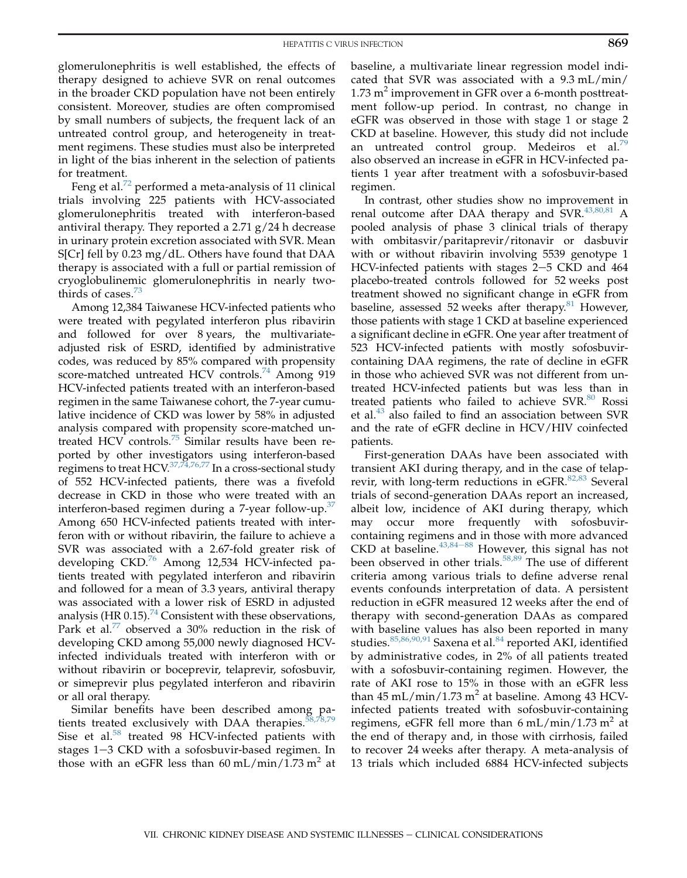glomerulonephritis is well established, the effects of therapy designed to achieve SVR on renal outcomes in the broader CKD population have not been entirely consistent. Moreover, studies are often compromised by small numbers of subjects, the frequent lack of an untreated control group, and heterogeneity in treatment regimens. These studies must also be interpreted in light of the bias inherent in the selection of patients for treatment.

Feng et al. $\frac{72}{2}$  $\frac{72}{2}$  $\frac{72}{2}$  performed a meta-analysis of 11 clinical trials involving 225 patients with HCV-associated glomerulonephritis treated with interferon-based antiviral therapy. They reported a 2.71 g/24 h decrease in urinary protein excretion associated with SVR. Mean S[Cr] fell by 0.23 mg/dL. Others have found that DAA therapy is associated with a full or partial remission of cryoglobulinemic glomerulonephritis in nearly twothirds of cases. $73$ 

Among 12,384 Taiwanese HCV-infected patients who were treated with pegylated interferon plus ribavirin and followed for over 8 years, the multivariateadjusted risk of ESRD, identified by administrative codes, was reduced by 85% compared with propensity score-matched untreated HCV controls. $44$  Among 919 HCV-infected patients treated with an interferon-based regimen in the same Taiwanese cohort, the 7-year cumulative incidence of CKD was lower by 58% in adjusted analysis compared with propensity score-matched un-treated HCV controls.<sup>[75](#page-14-0)</sup> Similar results have been reported by other investigators using interferon-based regimens to treat  $HCV^{37,74,76,77}$  $HCV^{37,74,76,77}$  $HCV^{37,74,76,77}$  In a cross-sectional study of 552 HCV-infected patients, there was a fivefold decrease in CKD in those who were treated with an interferon-based regimen during a 7-year follow-up.<sup>37</sup> Among 650 HCV-infected patients treated with interferon with or without ribavirin, the failure to achieve a SVR was associated with a 2.67-fold greater risk of developing CKD.<sup>[76](#page-14-0)</sup> Among 12,534 HCV-infected patients treated with pegylated interferon and ribavirin and followed for a mean of 3.3 years, antiviral therapy was associated with a lower risk of ESRD in adjusted analysis (HR 0.15).<sup>[74](#page-14-0)</sup> Consistent with these observations, Park et al.<sup>[77](#page-14-0)</sup> observed a 30% reduction in the risk of developing CKD among 55,000 newly diagnosed HCVinfected individuals treated with interferon with or without ribavirin or boceprevir, telaprevir, sofosbuvir, or simeprevir plus pegylated interferon and ribavirin or all oral therapy.

Similar benefits have been described among patients treated exclusively with DAA therapies. $58,78,79$ Sise et al. $58$  treated 98 HCV-infected patients with stages  $1-3$  CKD with a sofosbuvir-based regimen. In those with an eGFR less than  $60 \text{ mL/min} / 1.73 \text{ m}^2$  at baseline, a multivariate linear regression model indicated that SVR was associated with a 9.3 mL/min/  $1.73$  m<sup>2</sup> improvement in GFR over a 6-month posttreatment follow-up period. In contrast, no change in eGFR was observed in those with stage 1 or stage 2 CKD at baseline. However, this study did not include an untreated control group. Medeiros et al.<sup>[79](#page-14-0)</sup> also observed an increase in eGFR in HCV-infected patients 1 year after treatment with a sofosbuvir-based regimen.

In contrast, other studies show no improvement in renal outcome after DAA therapy and  $SVR$ <sup>[43,80,81](#page-13-0)</sup> A pooled analysis of phase 3 clinical trials of therapy with ombitasvir/paritaprevir/ritonavir or dasbuvir with or without ribavirin involving 5539 genotype 1 HCV-infected patients with stages  $2-5$  CKD and  $464$ placebo-treated controls followed for 52 weeks post treatment showed no significant change in eGFR from baseline, assessed 52 weeks after therapy. $81$  However, those patients with stage 1 CKD at baseline experienced a significant decline in eGFR. One year after treatment of 523 HCV-infected patients with mostly sofosbuvircontaining DAA regimens, the rate of decline in eGFR in those who achieved SVR was not different from untreated HCV-infected patients but was less than in treated patients who failed to achieve SVR.<sup>[80](#page-14-0)</sup> Rossi et al. $43$  also failed to find an association between SVR and the rate of eGFR decline in HCV/HIV coinfected patients.

First-generation DAAs have been associated with transient AKI during therapy, and in the case of telap-revir, with long-term reductions in eGFR.<sup>[82,83](#page-14-0)</sup> Several trials of second-generation DAAs report an increased, albeit low, incidence of AKI during therapy, which may occur more frequently with sofosbuvircontaining regimens and in those with more advanced CKD at baseline. $43,84-88$  $43,84-88$  However, this signal has not been observed in other trials.<sup>[58,89](#page-13-0)</sup> The use of different criteria among various trials to define adverse renal events confounds interpretation of data. A persistent reduction in eGFR measured 12 weeks after the end of therapy with second-generation DAAs as compared with baseline values has also been reported in many studies.<sup>[85,86,90,91](#page-14-0)</sup> Saxena et al.<sup>[84](#page-14-0)</sup> reported AKI, identified by administrative codes, in 2% of all patients treated with a sofosbuvir-containing regimen. However, the rate of AKI rose to 15% in those with an eGFR less than  $45 \text{ mL/min} / 1.73 \text{ m}^2$  at baseline. Among  $43 \text{ HCV}$ infected patients treated with sofosbuvir-containing regimens, eGFR fell more than  $6 \text{ mL/min} / 1.73 \text{ m}^2$  at the end of therapy and, in those with cirrhosis, failed to recover 24 weeks after therapy. A meta-analysis of 13 trials which included 6884 HCV-infected subjects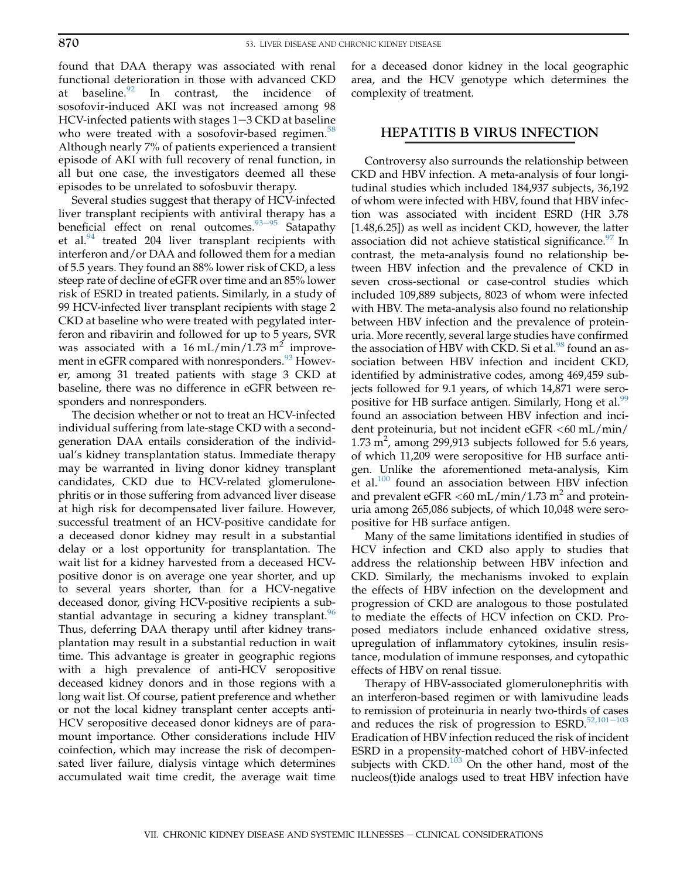found that DAA therapy was associated with renal functional deterioration in those with advanced CKD baseline. $92$  In contrast, the incidence of sosofovir-induced AKI was not increased among 98  $HCV$ -infected patients with stages  $1-3$  CKD at baseline who were treated with a sosofovir-based regimen. $58$ Although nearly 7% of patients experienced a transient episode of AKI with full recovery of renal function, in all but one case, the investigators deemed all these episodes to be unrelated to sofosbuvir therapy.

Several studies suggest that therapy of HCV-infected liver transplant recipients with antiviral therapy has a beneficial effect on renal outcomes. $93-95$  $93-95$  Satapathy et al. $94$  treated 204 liver transplant recipients with interferon and/or DAA and followed them for a median of 5.5 years. They found an 88% lower risk of CKD, a less steep rate of decline of eGFR over time and an 85% lower risk of ESRD in treated patients. Similarly, in a study of 99 HCV-infected liver transplant recipients with stage 2 CKD at baseline who were treated with pegylated interferon and ribavirin and followed for up to 5 years, SVR was associated with a  $16 \text{ mL/min} / 1.73 \text{ m}^2$  improve-ment in eGFR compared with nonresponders.<sup>[93](#page-15-0)</sup> However, among 31 treated patients with stage 3 CKD at baseline, there was no difference in eGFR between responders and nonresponders.

The decision whether or not to treat an HCV-infected individual suffering from late-stage CKD with a secondgeneration DAA entails consideration of the individual's kidney transplantation status. Immediate therapy may be warranted in living donor kidney transplant candidates, CKD due to HCV-related glomerulonephritis or in those suffering from advanced liver disease at high risk for decompensated liver failure. However, successful treatment of an HCV-positive candidate for a deceased donor kidney may result in a substantial delay or a lost opportunity for transplantation. The wait list for a kidney harvested from a deceased HCVpositive donor is on average one year shorter, and up to several years shorter, than for a HCV-negative deceased donor, giving HCV-positive recipients a sub-stantial advantage in securing a kidney transplant.<sup>[96](#page-15-0)</sup> Thus, deferring DAA therapy until after kidney transplantation may result in a substantial reduction in wait time. This advantage is greater in geographic regions with a high prevalence of anti-HCV seropositive deceased kidney donors and in those regions with a long wait list. Of course, patient preference and whether or not the local kidney transplant center accepts anti-HCV seropositive deceased donor kidneys are of paramount importance. Other considerations include HIV coinfection, which may increase the risk of decompensated liver failure, dialysis vintage which determines accumulated wait time credit, the average wait time for a deceased donor kidney in the local geographic area, and the HCV genotype which determines the complexity of treatment.

### HEPATITIS B VIRUS INFECTION

Controversy also surrounds the relationship between CKD and HBV infection. A meta-analysis of four longitudinal studies which included 184,937 subjects, 36,192 of whom were infected with HBV, found that HBV infection was associated with incident ESRD (HR 3.78 [1.48,6.25]) as well as incident CKD, however, the latter association did not achieve statistical significance.<sup>[97](#page-15-0)</sup> In contrast, the meta-analysis found no relationship between HBV infection and the prevalence of CKD in seven cross-sectional or case-control studies which included 109,889 subjects, 8023 of whom were infected with HBV. The meta-analysis also found no relationship between HBV infection and the prevalence of proteinuria. More recently, several large studies have confirmed the association of HBV with CKD. Si et al.<sup>[98](#page-15-0)</sup> found an association between HBV infection and incident CKD, identified by administrative codes, among 469,459 subjects followed for 9.1 years, of which 14,871 were sero-positive for HB surface antigen. Similarly, Hong et al.<sup>[99](#page-15-0)</sup> found an association between HBV infection and incident proteinuria, but not incident eGFR  $\langle 60 \text{ mL/min/} \rangle$ 1.73  $\mathrm{m}^2$ , among 299,913 subjects followed for 5.6 years, of which 11,209 were seropositive for HB surface antigen. Unlike the aforementioned meta-analysis, Kim et al. $100$  found an association between HBV infection and prevalent eGFR  $<$  60 mL/min/1.73 m<sup>2</sup> and proteinuria among 265,086 subjects, of which 10,048 were seropositive for HB surface antigen.

Many of the same limitations identified in studies of HCV infection and CKD also apply to studies that address the relationship between HBV infection and CKD. Similarly, the mechanisms invoked to explain the effects of HBV infection on the development and progression of CKD are analogous to those postulated to mediate the effects of HCV infection on CKD. Proposed mediators include enhanced oxidative stress, upregulation of inflammatory cytokines, insulin resistance, modulation of immune responses, and cytopathic effects of HBV on renal tissue.

Therapy of HBV-associated glomerulonephritis with an interferon-based regimen or with lamivudine leads to remission of proteinuria in nearly two-thirds of cases and reduces the risk of progression to  $ESRD$ .<sup>[52,101](#page-13-0)-103</sup> Eradication of HBV infection reduced the risk of incident ESRD in a propensity-matched cohort of HBV-infected subjects with  $CKD<sup>103</sup>$  $CKD<sup>103</sup>$  $CKD<sup>103</sup>$  On the other hand, most of the nucleos(t)ide analogs used to treat HBV infection have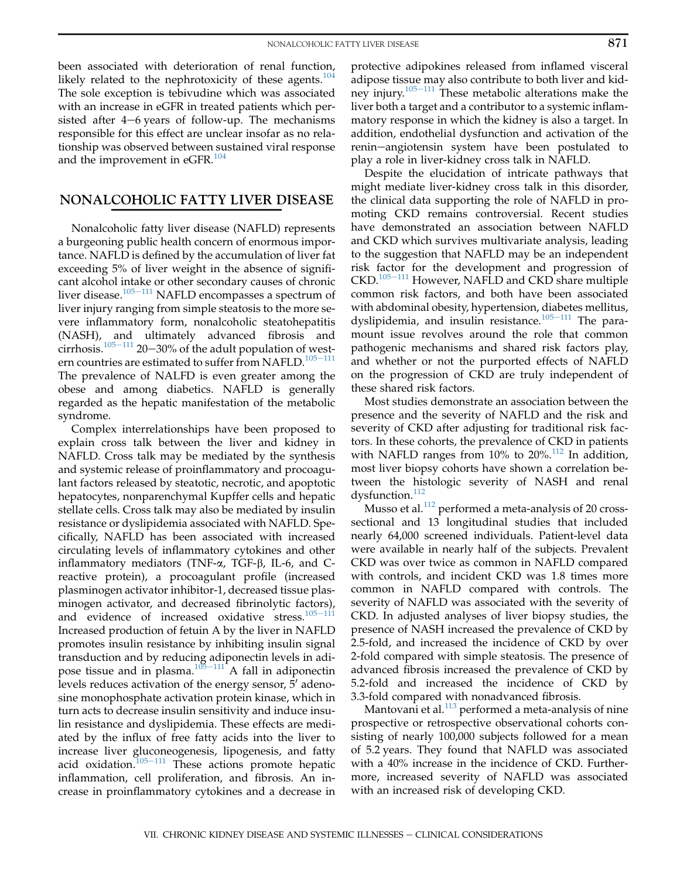been associated with deterioration of renal function, likely related to the nephrotoxicity of these agents. $104$ The sole exception is tebivudine which was associated with an increase in eGFR in treated patients which persisted after  $4-6$  years of follow-up. The mechanisms responsible for this effect are unclear insofar as no relationship was observed between sustained viral response and the improvement in eGFR.<sup>[104](#page-15-0)</sup>

### NONALCOHOLIC FATTY LIVER DISEASE

Nonalcoholic fatty liver disease (NAFLD) represents a burgeoning public health concern of enormous importance. NAFLD is defined by the accumulation of liver fat exceeding 5% of liver weight in the absence of significant alcohol intake or other secondary causes of chronic liver disease. $105-111$  $105-111$  NAFLD encompasses a spectrum of liver injury ranging from simple steatosis to the more severe inflammatory form, nonalcoholic steatohepatitis (NASH), and ultimately advanced fibrosis and cirrhosis. $105-111$  20-30% of the adult population of west-ern countries are estimated to suffer from NAFLD.<sup>[105](#page-15-0)-111</sup> The prevalence of NALFD is even greater among the obese and among diabetics. NAFLD is generally regarded as the hepatic manifestation of the metabolic syndrome.

Complex interrelationships have been proposed to explain cross talk between the liver and kidney in NAFLD. Cross talk may be mediated by the synthesis and systemic release of proinflammatory and procoagulant factors released by steatotic, necrotic, and apoptotic hepatocytes, nonparenchymal Kupffer cells and hepatic stellate cells. Cross talk may also be mediated by insulin resistance or dyslipidemia associated with NAFLD. Specifically, NAFLD has been associated with increased circulating levels of inflammatory cytokines and other inflammatory mediators (TNF- $\alpha$ , TGF- $\beta$ , IL-6, and Creactive protein), a procoagulant profile (increased plasminogen activator inhibitor-1, decreased tissue plasminogen activator, and decreased fibrinolytic factors), and evidence of increased oxidative stress. $105-111$  $105-111$ Increased production of fetuin A by the liver in NAFLD promotes insulin resistance by inhibiting insulin signal transduction and by reducing adiponectin levels in adi-pose tissue and in plasma.<sup>[105](#page-15-0)–111</sup><sup> $\Lambda$ </sup> fall in adiponectin levels reduces activation of the energy sensor,  $5'$  adenosine monophosphate activation protein kinase, which in turn acts to decrease insulin sensitivity and induce insulin resistance and dyslipidemia. These effects are mediated by the influx of free fatty acids into the liver to increase liver gluconeogenesis, lipogenesis, and fatty acid oxidation. $105-111$  $105-111$  These actions promote hepatic inflammation, cell proliferation, and fibrosis. An increase in proinflammatory cytokines and a decrease in protective adipokines released from inflamed visceral adipose tissue may also contribute to both liver and kidney injury. $105-111$  $105-111$  These metabolic alterations make the liver both a target and a contributor to a systemic inflammatory response in which the kidney is also a target. In addition, endothelial dysfunction and activation of the renin-angiotensin system have been postulated to play a role in liver-kidney cross talk in NAFLD.

Despite the elucidation of intricate pathways that might mediate liver-kidney cross talk in this disorder, the clinical data supporting the role of NAFLD in promoting CKD remains controversial. Recent studies have demonstrated an association between NAFLD and CKD which survives multivariate analysis, leading to the suggestion that NAFLD may be an independent risk factor for the development and progression of CKD.<sup>[105](#page-15-0)-111</sup> However, NAFLD and CKD share multiple common risk factors, and both have been associated with abdominal obesity, hypertension, diabetes mellitus, dyslipidemia, and insulin resistance. $105-111$  $105-111$  The paramount issue revolves around the role that common pathogenic mechanisms and shared risk factors play, and whether or not the purported effects of NAFLD on the progression of CKD are truly independent of these shared risk factors.

Most studies demonstrate an association between the presence and the severity of NAFLD and the risk and severity of CKD after adjusting for traditional risk factors. In these cohorts, the prevalence of CKD in patients with NAFLD ranges from  $10\%$  to  $20\%$ .<sup>[112](#page-15-0)</sup> In addition, most liver biopsy cohorts have shown a correlation between the histologic severity of NASH and renal dysfunction.<sup>[112](#page-15-0)</sup>

Musso et al.<sup>[112](#page-15-0)</sup> performed a meta-analysis of 20 crosssectional and 13 longitudinal studies that included nearly 64,000 screened individuals. Patient-level data were available in nearly half of the subjects. Prevalent CKD was over twice as common in NAFLD compared with controls, and incident CKD was 1.8 times more common in NAFLD compared with controls. The severity of NAFLD was associated with the severity of CKD. In adjusted analyses of liver biopsy studies, the presence of NASH increased the prevalence of CKD by 2.5-fold, and increased the incidence of CKD by over 2-fold compared with simple steatosis. The presence of advanced fibrosis increased the prevalence of CKD by 5.2-fold and increased the incidence of CKD by 3.3-fold compared with nonadvanced fibrosis.

Mantovani et al. $^{113}$  $^{113}$  $^{113}$  performed a meta-analysis of nine prospective or retrospective observational cohorts consisting of nearly 100,000 subjects followed for a mean of 5.2 years. They found that NAFLD was associated with a 40% increase in the incidence of CKD. Furthermore, increased severity of NAFLD was associated with an increased risk of developing CKD.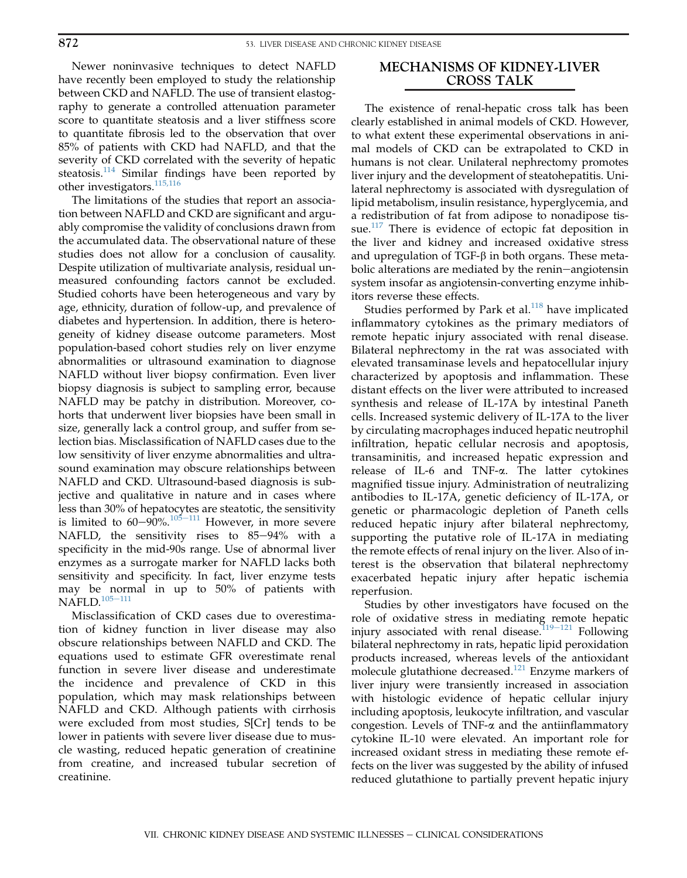Newer noninvasive techniques to detect NAFLD have recently been employed to study the relationship between CKD and NAFLD. The use of transient elastography to generate a controlled attenuation parameter score to quantitate steatosis and a liver stiffness score to quantitate fibrosis led to the observation that over 85% of patients with CKD had NAFLD, and that the severity of CKD correlated with the severity of hepatic steatosis.<sup>[114](#page-15-0)</sup> Similar findings have been reported by other investigators.  $^{115,116}$  $^{115,116}$  $^{115,116}$ 

The limitations of the studies that report an association between NAFLD and CKD are significant and arguably compromise the validity of conclusions drawn from the accumulated data. The observational nature of these studies does not allow for a conclusion of causality. Despite utilization of multivariate analysis, residual unmeasured confounding factors cannot be excluded. Studied cohorts have been heterogeneous and vary by age, ethnicity, duration of follow-up, and prevalence of diabetes and hypertension. In addition, there is heterogeneity of kidney disease outcome parameters. Most population-based cohort studies rely on liver enzyme abnormalities or ultrasound examination to diagnose NAFLD without liver biopsy confirmation. Even liver biopsy diagnosis is subject to sampling error, because NAFLD may be patchy in distribution. Moreover, cohorts that underwent liver biopsies have been small in size, generally lack a control group, and suffer from selection bias. Misclassification of NAFLD cases due to the low sensitivity of liver enzyme abnormalities and ultrasound examination may obscure relationships between NAFLD and CKD. Ultrasound-based diagnosis is subjective and qualitative in nature and in cases where less than 30% of hepatocytes are steatotic, the sensitivity is limited to  $60-90\%$ .<sup>[105](#page-15-0)–111</sup> However, in more severe NAFLD, the sensitivity rises to  $85-94\%$  with a specificity in the mid-90s range. Use of abnormal liver enzymes as a surrogate marker for NAFLD lacks both sensitivity and specificity. In fact, liver enzyme tests may be normal in up to 50% of patients with  $NAFLD.<sup>105–111</sup>$  $NAFLD.<sup>105–111</sup>$  $NAFLD.<sup>105–111</sup>$ 

Misclassification of CKD cases due to overestimation of kidney function in liver disease may also obscure relationships between NAFLD and CKD. The equations used to estimate GFR overestimate renal function in severe liver disease and underestimate the incidence and prevalence of CKD in this population, which may mask relationships between NAFLD and CKD. Although patients with cirrhosis were excluded from most studies, S[Cr] tends to be lower in patients with severe liver disease due to muscle wasting, reduced hepatic generation of creatinine from creatine, and increased tubular secretion of creatinine.

### MECHANISMS OF KIDNEY-LIVER CROSS TALK

The existence of renal-hepatic cross talk has been clearly established in animal models of CKD. However, to what extent these experimental observations in animal models of CKD can be extrapolated to CKD in humans is not clear. Unilateral nephrectomy promotes liver injury and the development of steatohepatitis. Unilateral nephrectomy is associated with dysregulation of lipid metabolism, insulin resistance, hyperglycemia, and a redistribution of fat from adipose to nonadipose tissue. $117$  There is evidence of ectopic fat deposition in the liver and kidney and increased oxidative stress and upregulation of TGF- $\beta$  in both organs. These metabolic alterations are mediated by the renin-angiotensin system insofar as angiotensin-converting enzyme inhibitors reverse these effects.

Studies performed by Park et al. $118$  have implicated inflammatory cytokines as the primary mediators of remote hepatic injury associated with renal disease. Bilateral nephrectomy in the rat was associated with elevated transaminase levels and hepatocellular injury characterized by apoptosis and inflammation. These distant effects on the liver were attributed to increased synthesis and release of IL-17A by intestinal Paneth cells. Increased systemic delivery of IL-17A to the liver by circulating macrophages induced hepatic neutrophil infiltration, hepatic cellular necrosis and apoptosis, transaminitis, and increased hepatic expression and release of IL-6 and TNF-a. The latter cytokines magnified tissue injury. Administration of neutralizing antibodies to IL-17A, genetic deficiency of IL-17A, or genetic or pharmacologic depletion of Paneth cells reduced hepatic injury after bilateral nephrectomy, supporting the putative role of IL-17A in mediating the remote effects of renal injury on the liver. Also of interest is the observation that bilateral nephrectomy exacerbated hepatic injury after hepatic ischemia reperfusion.

Studies by other investigators have focused on the role of oxidative stress in mediating remote hepatic injury associated with renal disease.<sup>119-[121](#page-15-0)</sup> Following bilateral nephrectomy in rats, hepatic lipid peroxidation products increased, whereas levels of the antioxidant molecule glutathione decreased.<sup>[121](#page-15-0)</sup> Enzyme markers of liver injury were transiently increased in association with histologic evidence of hepatic cellular injury including apoptosis, leukocyte infiltration, and vascular congestion. Levels of TNF-a and the antiinflammatory cytokine IL-10 were elevated. An important role for increased oxidant stress in mediating these remote effects on the liver was suggested by the ability of infused reduced glutathione to partially prevent hepatic injury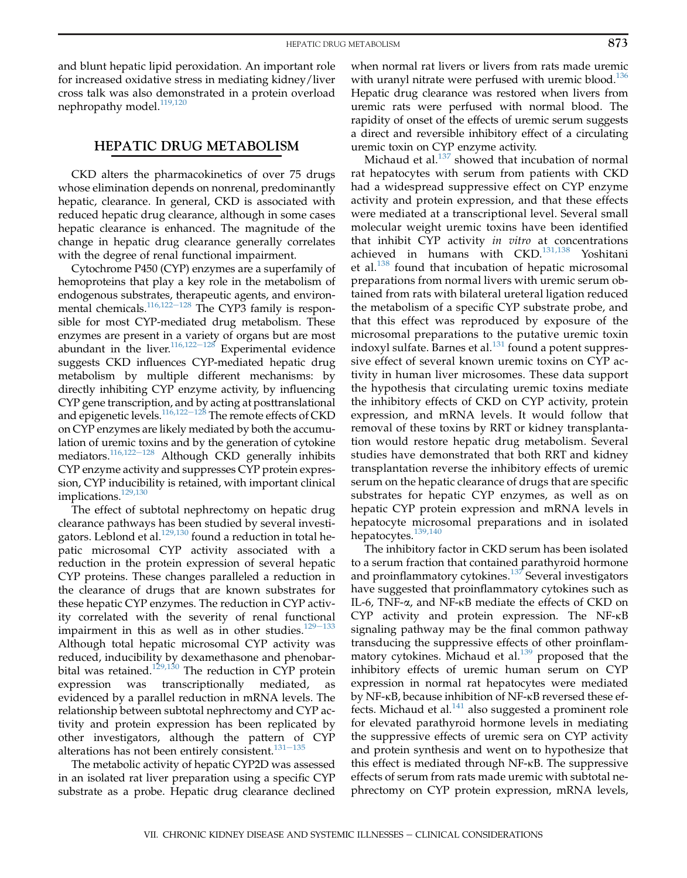and blunt hepatic lipid peroxidation. An important role for increased oxidative stress in mediating kidney/liver cross talk was also demonstrated in a protein overload nephropathy model.<sup>[119,120](#page-15-0)</sup>

### HEPATIC DRUG METABOLISM

CKD alters the pharmacokinetics of over 75 drugs whose elimination depends on nonrenal, predominantly hepatic, clearance. In general, CKD is associated with reduced hepatic drug clearance, although in some cases hepatic clearance is enhanced. The magnitude of the change in hepatic drug clearance generally correlates with the degree of renal functional impairment.

Cytochrome P450 (CYP) enzymes are a superfamily of hemoproteins that play a key role in the metabolism of endogenous substrates, therapeutic agents, and environ-mental chemicals.<sup>[116,122](#page-15-0)-128</sup> The CYP3 family is responsible for most CYP-mediated drug metabolism. These enzymes are present in a variety of organs but are most abundant in the liver. $116,122-128$  Experimental evidence suggests CKD influences CYP-mediated hepatic drug metabolism by multiple different mechanisms: by directly inhibiting CYP enzyme activity, by influencing CYP gene transcription, and by acting at posttranslational and epigenetic levels.<sup>116,122-128</sup> The remote effects of CKD on CYP enzymes are likely mediated by both the accumulation of uremic toxins and by the generation of cytokine mediators.<sup>116,122-128</sup> Although CKD generally inhibits CYP enzyme activity and suppresses CYP protein expression, CYP inducibility is retained, with important clinical implications.<sup>[129,130](#page-15-0)</sup>

The effect of subtotal nephrectomy on hepatic drug clearance pathways has been studied by several investigators. Leblond et al. $129,130$  found a reduction in total hepatic microsomal CYP activity associated with a reduction in the protein expression of several hepatic CYP proteins. These changes paralleled a reduction in the clearance of drugs that are known substrates for these hepatic CYP enzymes. The reduction in CYP activity correlated with the severity of renal functional impairment in this as well as in other studies. $129-133$  $129-133$ Although total hepatic microsomal CYP activity was reduced, inducibility by dexamethasone and phenobar-bital was retained.<sup>[129,130](#page-15-0)</sup> The reduction in CYP protein expression was transcriptionally mediated, as evidenced by a parallel reduction in mRNA levels. The relationship between subtotal nephrectomy and CYP activity and protein expression has been replicated by other investigators, although the pattern of CYP alterations has not been entirely consistent. $131-135$  $131-135$ 

The metabolic activity of hepatic CYP2D was assessed in an isolated rat liver preparation using a specific CYP substrate as a probe. Hepatic drug clearance declined when normal rat livers or livers from rats made uremic with uranyl nitrate were perfused with uremic blood.<sup>136</sup> Hepatic drug clearance was restored when livers from uremic rats were perfused with normal blood. The rapidity of onset of the effects of uremic serum suggests a direct and reversible inhibitory effect of a circulating uremic toxin on CYP enzyme activity.

Michaud et al. $137$  showed that incubation of normal rat hepatocytes with serum from patients with CKD had a widespread suppressive effect on CYP enzyme activity and protein expression, and that these effects were mediated at a transcriptional level. Several small molecular weight uremic toxins have been identified that inhibit CYP activity in vitro at concentrations achieved in humans with  $CKD$ .<sup>[131,138](#page-16-0)</sup> Yoshitani et al. $^{138}$  $^{138}$  $^{138}$  found that incubation of hepatic microsomal preparations from normal livers with uremic serum obtained from rats with bilateral ureteral ligation reduced the metabolism of a specific CYP substrate probe, and that this effect was reproduced by exposure of the microsomal preparations to the putative uremic toxin indoxyl sulfate. Barnes et al.<sup>[131](#page-16-0)</sup> found a potent suppressive effect of several known uremic toxins on CYP activity in human liver microsomes. These data support the hypothesis that circulating uremic toxins mediate the inhibitory effects of CKD on CYP activity, protein expression, and mRNA levels. It would follow that removal of these toxins by RRT or kidney transplantation would restore hepatic drug metabolism. Several studies have demonstrated that both RRT and kidney transplantation reverse the inhibitory effects of uremic serum on the hepatic clearance of drugs that are specific substrates for hepatic CYP enzymes, as well as on hepatic CYP protein expression and mRNA levels in hepatocyte microsomal preparations and in isolated hepatocytes.<sup>[139,140](#page-16-0)</sup>

The inhibitory factor in CKD serum has been isolated to a serum fraction that contained parathyroid hormone and proinflammatory cytokines.<sup>[137](#page-16-0)</sup> Several investigators have suggested that proinflammatory cytokines such as IL-6, TNF-a, and NF-kB mediate the effects of CKD on CYP activity and protein expression. The NF- $\kappa$ B signaling pathway may be the final common pathway transducing the suppressive effects of other proinflammatory cytokines. Michaud et al. $139$  proposed that the inhibitory effects of uremic human serum on CYP expression in normal rat hepatocytes were mediated by NF-kB, because inhibition of NF-kB reversed these effects. Michaud et al. $^{141}$  $^{141}$  $^{141}$  also suggested a prominent role for elevated parathyroid hormone levels in mediating the suppressive effects of uremic sera on CYP activity and protein synthesis and went on to hypothesize that this effect is mediated through NF-kB. The suppressive effects of serum from rats made uremic with subtotal nephrectomy on CYP protein expression, mRNA levels,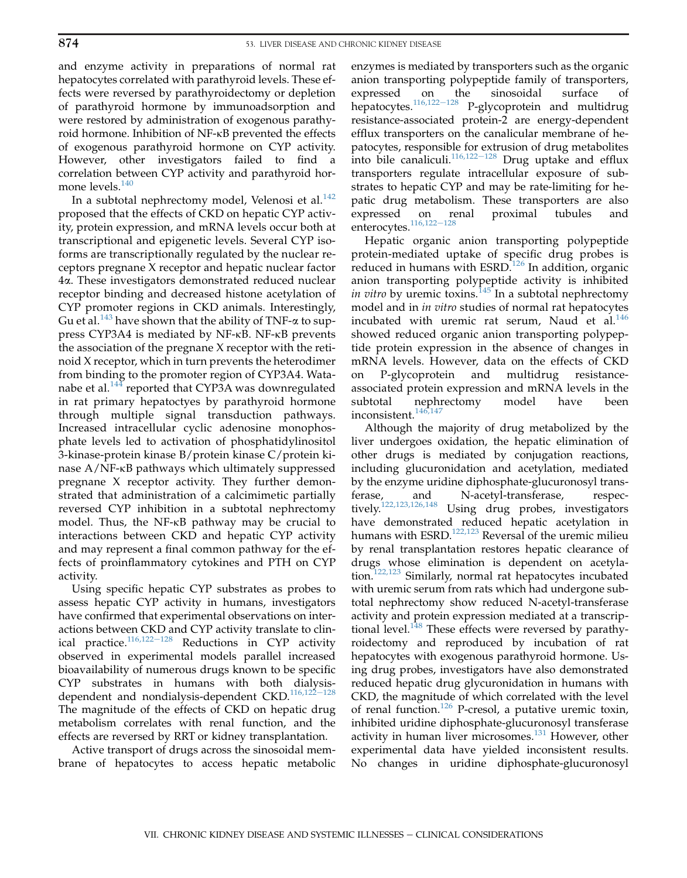and enzyme activity in preparations of normal rat hepatocytes correlated with parathyroid levels. These effects were reversed by parathyroidectomy or depletion of parathyroid hormone by immunoadsorption and were restored by administration of exogenous parathyroid hormone. Inhibition of NF-kB prevented the effects of exogenous parathyroid hormone on CYP activity. However, other investigators failed to find a correlation between CYP activity and parathyroid hor-mone levels.<sup>[140](#page-16-0)</sup>

In a subtotal nephrectomy model, Velenosi et al. $142$ proposed that the effects of CKD on hepatic CYP activity, protein expression, and mRNA levels occur both at transcriptional and epigenetic levels. Several CYP isoforms are transcriptionally regulated by the nuclear receptors pregnane X receptor and hepatic nuclear factor 4a. These investigators demonstrated reduced nuclear receptor binding and decreased histone acetylation of CYP promoter regions in CKD animals. Interestingly, Gu et al.<sup>[143](#page-16-0)</sup> have shown that the ability of TNF- $\alpha$  to suppress CYP3A4 is mediated by NF-kB. NF-kB prevents the association of the pregnane X receptor with the retinoid X receptor, which in turn prevents the heterodimer from binding to the promoter region of CYP3A4. Wata-nabe et al.<sup>[144](#page-16-0)</sup> reported that CYP3A was downregulated in rat primary hepatoctyes by parathyroid hormone through multiple signal transduction pathways. Increased intracellular cyclic adenosine monophosphate levels led to activation of phosphatidylinositol 3-kinase-protein kinase B/protein kinase C/protein kinase A/NF-kB pathways which ultimately suppressed pregnane X receptor activity. They further demonstrated that administration of a calcimimetic partially reversed CYP inhibition in a subtotal nephrectomy model. Thus, the NF-kB pathway may be crucial to interactions between CKD and hepatic CYP activity and may represent a final common pathway for the effects of proinflammatory cytokines and PTH on CYP activity.

Using specific hepatic CYP substrates as probes to assess hepatic CYP activity in humans, investigators have confirmed that experimental observations on interactions between CKD and CYP activity translate to clin-ical practice.<sup>[116,122](#page-15-0)-128</sup> Reductions in CYP activity observed in experimental models parallel increased bioavailability of numerous drugs known to be specific CYP substrates in humans with both dialysisdependent and nondialysis-dependent  $CKD$ .<sup>[116,122](#page-15-0)-128</sup> The magnitude of the effects of CKD on hepatic drug metabolism correlates with renal function, and the effects are reversed by RRT or kidney transplantation.

Active transport of drugs across the sinosoidal membrane of hepatocytes to access hepatic metabolic enzymes is mediated by transporters such as the organic anion transporting polypeptide family of transporters, expressed on the sinosoidal surface of hepatocytes.<sup>[116,122](#page-15-0)-128</sup> P-glycoprotein and multidrug resistance-associated protein-2 are energy-dependent efflux transporters on the canalicular membrane of hepatocytes, responsible for extrusion of drug metabolites into bile canaliculi.<sup>[116,122](#page-15-0)-128</sup> Drug uptake and efflux transporters regulate intracellular exposure of substrates to hepatic CYP and may be rate-limiting for hepatic drug metabolism. These transporters are also expressed on renal proximal tubules and enterocytes. $\frac{116,122-128}{ }$  $\frac{116,122-128}{ }$  $\frac{116,122-128}{ }$ 

Hepatic organic anion transporting polypeptide protein-mediated uptake of specific drug probes is reduced in humans with ESRD.<sup>[126](#page-15-0)</sup> In addition, organic anion transporting polypeptide activity is inhibited *in vitro* by uremic toxins.<sup>[145](#page-16-0)</sup> In a subtotal nephrectomy model and in *in vitro* studies of normal rat hepatocytes incubated with uremic rat serum, Naud et al. $146$ showed reduced organic anion transporting polypeptide protein expression in the absence of changes in mRNA levels. However, data on the effects of CKD on P-glycoprotein and multidrug resistanceassociated protein expression and mRNA levels in the subtotal nephrectomy model have been inconsistent.[146,147](#page-16-0)

Although the majority of drug metabolized by the liver undergoes oxidation, the hepatic elimination of other drugs is mediated by conjugation reactions, including glucuronidation and acetylation, mediated by the enzyme uridine diphosphate-glucuronosyl transferase, and N-acetyl-transferase, respectively.[122,123,126,148](#page-15-0) Using drug probes, investigators have demonstrated reduced hepatic acetylation in humans with ESRD.<sup>[122,123](#page-15-0)</sup> Reversal of the uremic milieu by renal transplantation restores hepatic clearance of drugs whose elimination is dependent on acetyla-tion.<sup>[122,123](#page-15-0)</sup> Similarly, normal rat hepatocytes incubated with uremic serum from rats which had undergone subtotal nephrectomy show reduced N-acetyl-transferase activity and protein expression mediated at a transcriptional level. $148$  These effects were reversed by parathyroidectomy and reproduced by incubation of rat hepatocytes with exogenous parathyroid hormone. Using drug probes, investigators have also demonstrated reduced hepatic drug glycuronidation in humans with CKD, the magnitude of which correlated with the level of renal function.<sup>[126](#page-15-0)</sup> P-cresol, a putative uremic toxin, inhibited uridine diphosphate-glucuronosyl transferase activity in human liver microsomes. $^{131}$  $^{131}$  $^{131}$  However, other experimental data have yielded inconsistent results. No changes in uridine diphosphate-glucuronosyl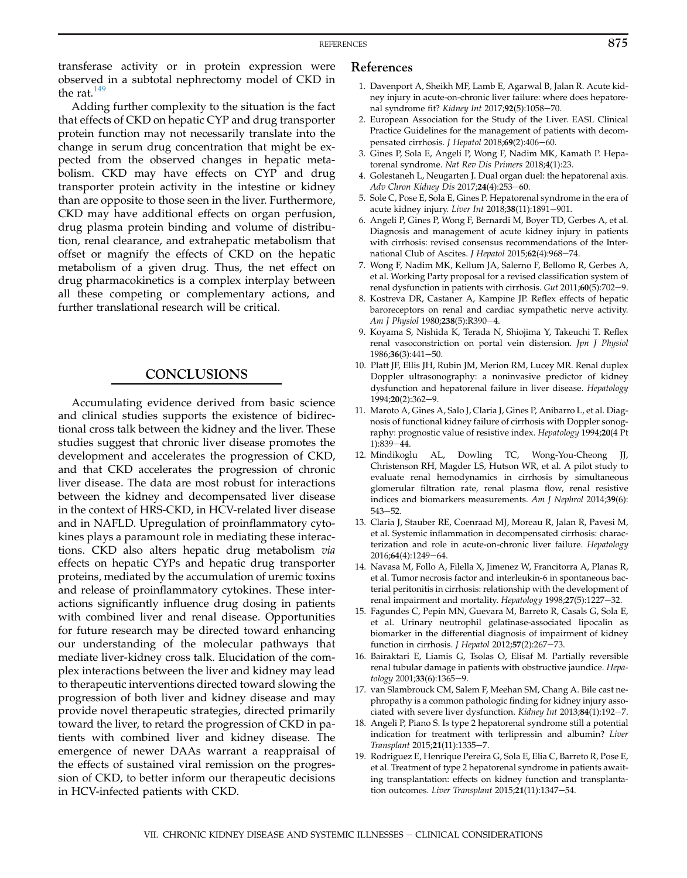<span id="page-12-0"></span>transferase activity or in protein expression were observed in a subtotal nephrectomy model of CKD in the rat. $149$ 

Adding further complexity to the situation is the fact that effects of CKD on hepatic CYP and drug transporter protein function may not necessarily translate into the change in serum drug concentration that might be expected from the observed changes in hepatic metabolism. CKD may have effects on CYP and drug transporter protein activity in the intestine or kidney than are opposite to those seen in the liver. Furthermore, CKD may have additional effects on organ perfusion, drug plasma protein binding and volume of distribution, renal clearance, and extrahepatic metabolism that offset or magnify the effects of CKD on the hepatic metabolism of a given drug. Thus, the net effect on drug pharmacokinetics is a complex interplay between all these competing or complementary actions, and further translational research will be critical.

### CONCLUSIONS

Accumulating evidence derived from basic science and clinical studies supports the existence of bidirectional cross talk between the kidney and the liver. These studies suggest that chronic liver disease promotes the development and accelerates the progression of CKD, and that CKD accelerates the progression of chronic liver disease. The data are most robust for interactions between the kidney and decompensated liver disease in the context of HRS-CKD, in HCV-related liver disease and in NAFLD. Upregulation of proinflammatory cytokines plays a paramount role in mediating these interactions. CKD also alters hepatic drug metabolism via effects on hepatic CYPs and hepatic drug transporter proteins, mediated by the accumulation of uremic toxins and release of proinflammatory cytokines. These interactions significantly influence drug dosing in patients with combined liver and renal disease. Opportunities for future research may be directed toward enhancing our understanding of the molecular pathways that mediate liver-kidney cross talk. Elucidation of the complex interactions between the liver and kidney may lead to therapeutic interventions directed toward slowing the progression of both liver and kidney disease and may provide novel therapeutic strategies, directed primarily toward the liver, to retard the progression of CKD in patients with combined liver and kidney disease. The emergence of newer DAAs warrant a reappraisal of the effects of sustained viral remission on the progression of CKD, to better inform our therapeutic decisions in HCV-infected patients with CKD.

### References

- 1. Davenport A, Sheikh MF, Lamb E, Agarwal B, Jalan R. Acute kidney injury in acute-on-chronic liver failure: where does hepatorenal syndrome fit? Kidney Int  $2017;92(5):1058-70$ .
- 2. European Association for the Study of the Liver. EASL Clinical Practice Guidelines for the management of patients with decompensated cirrhosis. *J Hepatol* 2018; $69(2):406-60$ .
- 3. Gines P, Sola E, Angeli P, Wong F, Nadim MK, Kamath P. Hepatorenal syndrome. Nat Rev Dis Primers 2018;4(1):23.
- 4. Golestaneh L, Neugarten J. Dual organ duel: the hepatorenal axis. Adv Chron Kidney Dis 2017;24(4):253-60.
- 5. Sole C, Pose E, Sola E, Gines P. Hepatorenal syndrome in the era of acute kidney injury. Liver Int 2018;38(11):1891-901.
- 6. Angeli P, Gines P, Wong F, Bernardi M, Boyer TD, Gerbes A, et al. Diagnosis and management of acute kidney injury in patients with cirrhosis: revised consensus recommendations of the International Club of Ascites. J Hepatol 2015;62(4):968-74.
- 7. Wong F, Nadim MK, Kellum JA, Salerno F, Bellomo R, Gerbes A, et al. Working Party proposal for a revised classification system of renal dysfunction in patients with cirrhosis. Gut 2011;60(5):702-9.
- 8. Kostreva DR, Castaner A, Kampine JP. Reflex effects of hepatic baroreceptors on renal and cardiac sympathetic nerve activity. Am J Physiol 1980;238(5):R390-4.
- 9. Koyama S, Nishida K, Terada N, Shiojima Y, Takeuchi T. Reflex renal vasoconstriction on portal vein distension. Jpn J Physiol  $1986:36(3):441-50.$
- 10. Platt JF, Ellis JH, Rubin JM, Merion RM, Lucey MR. Renal duplex Doppler ultrasonography: a noninvasive predictor of kidney dysfunction and hepatorenal failure in liver disease. Hepatology 1994;20(2):362-9.
- 11. Maroto A, Gines A, Salo J, Claria J, Gines P, Anibarro L, et al. Diagnosis of functional kidney failure of cirrhosis with Doppler sonography: prognostic value of resistive index. Hepatology 1994;20(4 Pt 1):839-44.
- 12. Mindikoglu AL, Dowling TC, Wong-You-Cheong JJ, Christenson RH, Magder LS, Hutson WR, et al. A pilot study to evaluate renal hemodynamics in cirrhosis by simultaneous glomerular filtration rate, renal plasma flow, renal resistive indices and biomarkers measurements. Am J Nephrol 2014;39(6):  $543 - 52$ .
- 13. Claria J, Stauber RE, Coenraad MJ, Moreau R, Jalan R, Pavesi M, et al. Systemic inflammation in decompensated cirrhosis: characterization and role in acute-on-chronic liver failure. Hepatology 2016:64(4):1249-64.
- 14. Navasa M, Follo A, Filella X, Jimenez W, Francitorra A, Planas R, et al. Tumor necrosis factor and interleukin-6 in spontaneous bacterial peritonitis in cirrhosis: relationship with the development of renal impairment and mortality. Hepatology 1998;27(5):1227-32.
- 15. Fagundes C, Pepin MN, Guevara M, Barreto R, Casals G, Sola E, et al. Urinary neutrophil gelatinase-associated lipocalin as biomarker in the differential diagnosis of impairment of kidney function in cirrhosis. J Hepatol 2012;57(2):267-73.
- 16. Bairaktari E, Liamis G, Tsolas O, Elisaf M. Partially reversible renal tubular damage in patients with obstructive jaundice. Hepatology 2001;33(6):1365-9.
- 17. van Slambrouck CM, Salem F, Meehan SM, Chang A. Bile cast nephropathy is a common pathologic finding for kidney injury associated with severe liver dysfunction. Kidney Int 2013;84(1):192-7.
- 18. Angeli P, Piano S. Is type 2 hepatorenal syndrome still a potential indication for treatment with terlipressin and albumin? Liver Transplant 2015;21(11):1335-7.
- 19. Rodriguez E, Henrique Pereira G, Sola E, Elia C, Barreto R, Pose E, et al. Treatment of type 2 hepatorenal syndrome in patients awaiting transplantation: effects on kidney function and transplantation outcomes. Liver Transplant  $2015;21(11):1347-54$ .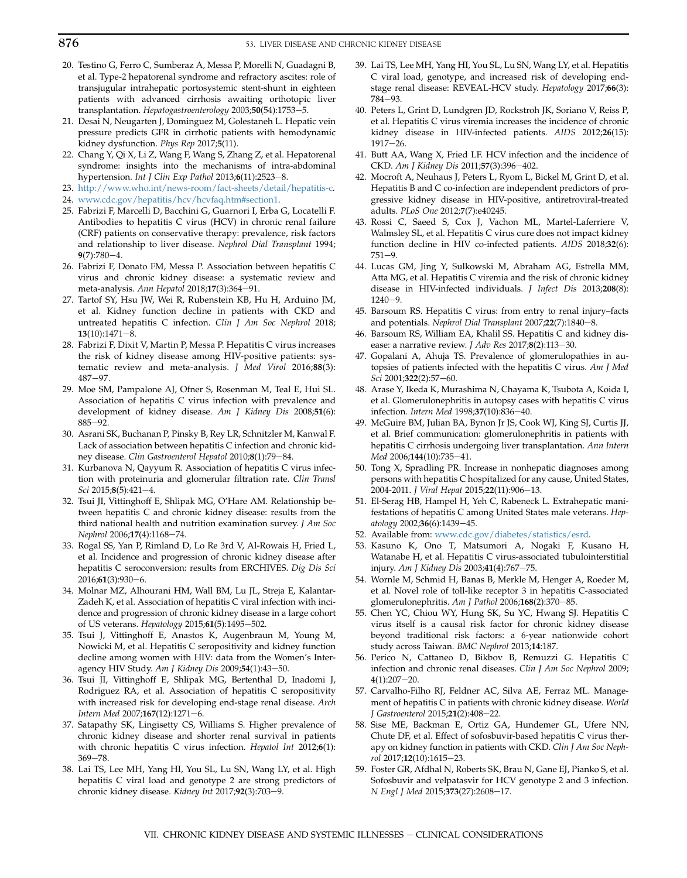<span id="page-13-0"></span>876 53. LIVER DISEASE AND CHRONIC KIDNEY DISEASE

- 20. Testino G, Ferro C, Sumberaz A, Messa P, Morelli N, Guadagni B, et al. Type-2 hepatorenal syndrome and refractory ascites: role of transjugular intrahepatic portosystemic stent-shunt in eighteen patients with advanced cirrhosis awaiting orthotopic liver transplantation. Hepatogastroenterology 2003;50(54):1753-5.
- 21. Desai N, Neugarten J, Dominguez M, Golestaneh L. Hepatic vein pressure predicts GFR in cirrhotic patients with hemodynamic kidney dysfunction. Phys Rep 2017;5(11).
- 22. Chang Y, Qi X, Li Z, Wang F, Wang S, Zhang Z, et al. Hepatorenal syndrome: insights into the mechanisms of intra-abdominal hypertension. Int J Clin Exp Pathol  $2013;6(11):2523-8$ .
- 23. <http://www.who.int/news-room/fact-sheets/detail/hepatitis-c>.
- 24. [www.cdc.gov/hepatitis/hcv/hcvfaq.htm#section1.](http://www.cdc.gov/hepatitis/hcv/hcvfaq.htm#section1)
- 25. Fabrizi F, Marcelli D, Bacchini G, Guarnori I, Erba G, Locatelli F. Antibodies to hepatitis C virus (HCV) in chronic renal failure (CRF) patients on conservative therapy: prevalence, risk factors and relationship to liver disease. Nephrol Dial Transplant 1994;  $9(7):780-4.$
- 26. Fabrizi F, Donato FM, Messa P. Association between hepatitis C virus and chronic kidney disease: a systematic review and meta-analysis. Ann Hepatol  $2018;17(3):364-91$ .
- 27. Tartof SY, Hsu JW, Wei R, Rubenstein KB, Hu H, Arduino JM, et al. Kidney function decline in patients with CKD and untreated hepatitis C infection. Clin J Am Soc Nephrol 2018;  $13(10):1471-8.$
- 28. Fabrizi F, Dixit V, Martin P, Messa P. Hepatitis C virus increases the risk of kidney disease among HIV-positive patients: systematic review and meta-analysis. J Med Virol 2016;88(3): 487-97.
- 29. Moe SM, Pampalone AJ, Ofner S, Rosenman M, Teal E, Hui SL. Association of hepatitis C virus infection with prevalence and development of kidney disease. Am J Kidney Dis 2008;51(6): 885-92.
- 30. Asrani SK, Buchanan P, Pinsky B, Rey LR, Schnitzler M, Kanwal F. Lack of association between hepatitis C infection and chronic kidney disease. Clin Gastroenterol Hepatol 2010;8(1):79-84.
- 31. Kurbanova N, Qayyum R. Association of hepatitis C virus infection with proteinuria and glomerular filtration rate. Clin Transl Sci 2015;8(5):421-4.
- 32. Tsui JI, Vittinghoff E, Shlipak MG, O'Hare AM. Relationship between hepatitis C and chronic kidney disease: results from the third national health and nutrition examination survey. J Am Soc Nephrol 2006;17(4):1168-74.
- 33. Rogal SS, Yan P, Rimland D, Lo Re 3rd V, Al-Rowais H, Fried L, et al. Incidence and progression of chronic kidney disease after hepatitis C seroconversion: results from ERCHIVES. Dig Dis Sci  $2016;61(3):930-6.$
- 34. Molnar MZ, Alhourani HM, Wall BM, Lu JL, Streja E, Kalantar-Zadeh K, et al. Association of hepatitis C viral infection with incidence and progression of chronic kidney disease in a large cohort of US veterans. Hepatology 2015;61(5):1495-502.
- 35. Tsui J, Vittinghoff E, Anastos K, Augenbraun M, Young M, Nowicki M, et al. Hepatitis C seropositivity and kidney function decline among women with HIV: data from the Women's Interagency HIV Study. Am J Kidney Dis 2009;54(1):43-50.
- 36. Tsui JI, Vittinghoff E, Shlipak MG, Bertenthal D, Inadomi J, Rodriguez RA, et al. Association of hepatitis C seropositivity with increased risk for developing end-stage renal disease. Arch Intern Med 2007;167(12):1271-6.
- 37. Satapathy SK, Lingisetty CS, Williams S. Higher prevalence of chronic kidney disease and shorter renal survival in patients with chronic hepatitis C virus infection. Hepatol Int 2012;6(1): 369-78.
- 38. Lai TS, Lee MH, Yang HI, You SL, Lu SN, Wang LY, et al. High hepatitis C viral load and genotype 2 are strong predictors of chronic kidney disease. Kidney Int 2017;92(3):703-9.
- 39. Lai TS, Lee MH, Yang HI, You SL, Lu SN, Wang LY, et al. Hepatitis C viral load, genotype, and increased risk of developing endstage renal disease: REVEAL-HCV study. Hepatology 2017;66(3): 784-93.
- 40. Peters L, Grint D, Lundgren JD, Rockstroh JK, Soriano V, Reiss P, et al. Hepatitis C virus viremia increases the incidence of chronic kidney disease in HIV-infected patients. AIDS 2012;26(15):  $1917 - 26$ .
- 41. Butt AA, Wang X, Fried LF. HCV infection and the incidence of CKD. Am J Kidney Dis 2011;57(3):396-402.
- 42. Mocroft A, Neuhaus J, Peters L, Ryom L, Bickel M, Grint D, et al. Hepatitis B and C co-infection are independent predictors of progressive kidney disease in HIV-positive, antiretroviral-treated adults. PLoS One 2012;7(7):e40245.
- 43. Rossi C, Saeed S, Cox J, Vachon ML, Martel-Laferriere V, Walmsley SL, et al. Hepatitis C virus cure does not impact kidney function decline in HIV co-infected patients. AIDS 2018;32(6):  $751 - 9.$
- 44. Lucas GM, Jing Y, Sulkowski M, Abraham AG, Estrella MM, Atta MG, et al. Hepatitis C viremia and the risk of chronic kidney disease in HIV-infected individuals. J Infect Dis 2013;208(8):  $1240 - 9$ .
- 45. Barsoum RS. Hepatitis C virus: from entry to renal injury–facts and potentials. Nephrol Dial Transplant  $2007;22(7):1840-8$ .
- 46. Barsoum RS, William EA, Khalil SS. Hepatitis C and kidney disease: a narrative review. *J Adv Res* 2017; $8(2):113-30$ .
- 47. Gopalani A, Ahuja TS. Prevalence of glomerulopathies in autopsies of patients infected with the hepatitis C virus. Am J Med Sci 2001;322(2):57-60.
- 48. Arase Y, Ikeda K, Murashima N, Chayama K, Tsubota A, Koida I, et al. Glomerulonephritis in autopsy cases with hepatitis C virus infection. Intern Med 1998;37(10):836-40.
- 49. McGuire BM, Julian BA, Bynon Jr JS, Cook WJ, King SJ, Curtis JJ, et al. Brief communication: glomerulonephritis in patients with hepatitis C cirrhosis undergoing liver transplantation. Ann Intern Med 2006;144(10):735-41.
- 50. Tong X, Spradling PR. Increase in nonhepatic diagnoses among persons with hepatitis C hospitalized for any cause, United States, 2004-2011. J Viral Hepat 2015;22(11):906-13.
- 51. El-Serag HB, Hampel H, Yeh C, Rabeneck L. Extrahepatic manifestations of hepatitis C among United States male veterans. Hepatology 2002;36(6):1439-45.
- 52. Available from: [www.cdc.gov/diabetes/statistics/esrd.](http://www.cdc.gov/diabetes/statistics/esrd)
- 53. Kasuno K, Ono T, Matsumori A, Nogaki F, Kusano H, Watanabe H, et al. Hepatitis C virus-associated tubulointerstitial injury. Am J Kidney Dis 2003;41(4):767-75.
- 54. Wornle M, Schmid H, Banas B, Merkle M, Henger A, Roeder M, et al. Novel role of toll-like receptor 3 in hepatitis C-associated glomerulonephritis. Am J Pathol 2006;168(2):370-85.
- 55. Chen YC, Chiou WY, Hung SK, Su YC, Hwang SJ. Hepatitis C virus itself is a causal risk factor for chronic kidney disease beyond traditional risk factors: a 6-year nationwide cohort study across Taiwan. BMC Nephrol 2013;14:187.
- 56. Perico N, Cattaneo D, Bikbov B, Remuzzi G. Hepatitis C infection and chronic renal diseases. Clin J Am Soc Nephrol 2009;  $4(1):207-20.$
- 57. Carvalho-Filho RJ, Feldner AC, Silva AE, Ferraz ML. Management of hepatitis C in patients with chronic kidney disease. World J Gastroenterol 2015;21(2):408-22.
- 58. Sise ME, Backman E, Ortiz GA, Hundemer GL, Ufere NN, Chute DF, et al. Effect of sofosbuvir-based hepatitis C virus therapy on kidney function in patients with CKD. Clin J Am Soc Nephrol 2017;12(10):1615-23.
- 59. Foster GR, Afdhal N, Roberts SK, Brau N, Gane EJ, Pianko S, et al. Sofosbuvir and velpatasvir for HCV genotype 2 and 3 infection. N Engl J Med 2015;373(27):2608-17.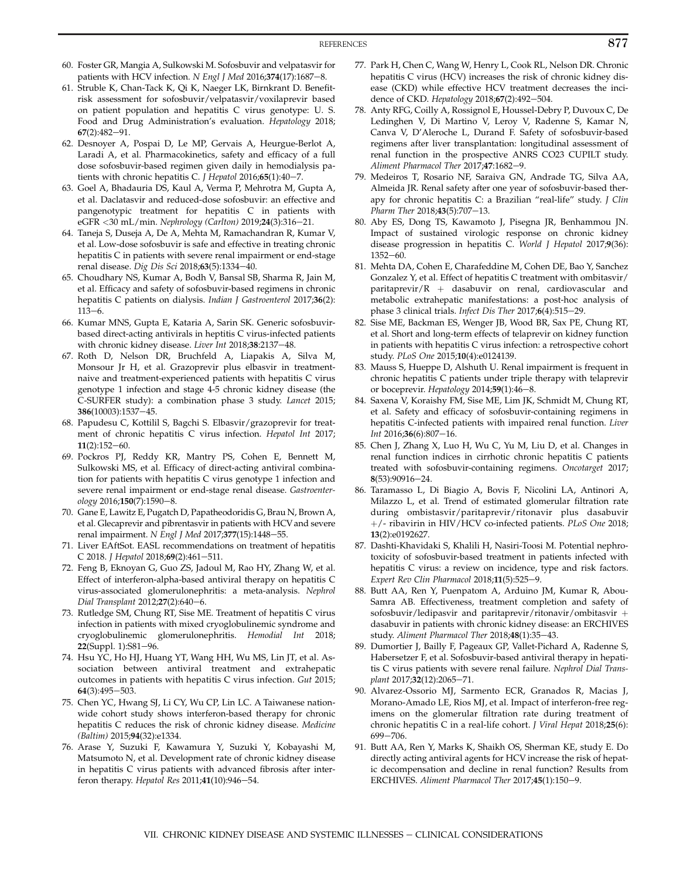- <span id="page-14-0"></span>60. Foster GR, Mangia A, Sulkowski M. Sofosbuvir and velpatasvir for patients with HCV infection. N Engl J Med 2016;374(17):1687-8.
- 61. Struble K, Chan-Tack K, Qi K, Naeger LK, Birnkrant D. Benefitrisk assessment for sofosbuvir/velpatasvir/voxilaprevir based on patient population and hepatitis C virus genotype: U. S. Food and Drug Administration's evaluation. Hepatology 2018;  $67(2):482-91.$
- 62. Desnoyer A, Pospai D, Le MP, Gervais A, Heurgue-Berlot A, Laradi A, et al. Pharmacokinetics, safety and efficacy of a full dose sofosbuvir-based regimen given daily in hemodialysis patients with chronic hepatitis C. *J Hepatol*  $2016;65(1):40-7$ .
- 63. Goel A, Bhadauria DS, Kaul A, Verma P, Mehrotra M, Gupta A, et al. Daclatasvir and reduced-dose sofosbuvir: an effective and pangenotypic treatment for hepatitis C in patients with eGFR <30 mL/min. Nephrology (Carlton) 2019;24(3):316-21.
- 64. Taneja S, Duseja A, De A, Mehta M, Ramachandran R, Kumar V, et al. Low-dose sofosbuvir is safe and effective in treating chronic hepatitis C in patients with severe renal impairment or end-stage renal disease. Dig Dis Sci 2018;63(5):1334-40.
- 65. Choudhary NS, Kumar A, Bodh V, Bansal SB, Sharma R, Jain M, et al. Efficacy and safety of sofosbuvir-based regimens in chronic hepatitis C patients on dialysis. Indian J Gastroenterol 2017;36(2):  $113 - 6.$
- 66. Kumar MNS, Gupta E, Kataria A, Sarin SK. Generic sofosbuvirbased direct-acting antivirals in heptitis C virus-infected patients with chronic kidney disease. Liver Int 2018;38:2137-48.
- 67. Roth D, Nelson DR, Bruchfeld A, Liapakis A, Silva M, Monsour Jr H, et al. Grazoprevir plus elbasvir in treatmentnaive and treatment-experienced patients with hepatitis C virus genotype 1 infection and stage 4-5 chronic kidney disease (the C-SURFER study): a combination phase 3 study. Lancet 2015; 386(10003):1537-45.
- 68. Papudesu C, Kottilil S, Bagchi S. Elbasvir/grazoprevir for treatment of chronic hepatitis C virus infection. Hepatol Int 2017;  $11(2):152-60.$
- 69. Pockros PJ, Reddy KR, Mantry PS, Cohen E, Bennett M, Sulkowski MS, et al. Efficacy of direct-acting antiviral combination for patients with hepatitis C virus genotype 1 infection and severe renal impairment or end-stage renal disease. Gastroenterology 2016;150(7):1590-8.
- 70. Gane E, Lawitz E, Pugatch D, Papatheodoridis G, Brau N, Brown A, et al. Glecaprevir and pibrentasvir in patients with HCV and severe renal impairment. N Engl J Med 2017;377(15):1448-55.
- 71. Liver EAftSot. EASL recommendations on treatment of hepatitis C 2018. J Hepatol 2018;69(2):461-511.
- 72. Feng B, Eknoyan G, Guo ZS, Jadoul M, Rao HY, Zhang W, et al. Effect of interferon-alpha-based antiviral therapy on hepatitis C virus-associated glomerulonephritis: a meta-analysis. Nephrol Dial Transplant 2012;27(2):640-6.
- 73. Rutledge SM, Chung RT, Sise ME. Treatment of hepatitis C virus infection in patients with mixed cryoglobulinemic syndrome and cryoglobulinemic glomerulonephritis. Hemodial Int 2018; 22(Suppl. 1):S81-96.
- 74. Hsu YC, Ho HJ, Huang YT, Wang HH, Wu MS, Lin JT, et al. Association between antiviral treatment and extrahepatic outcomes in patients with hepatitis C virus infection. Gut 2015;  $64(3):495 - 503.$
- 75. Chen YC, Hwang SJ, Li CY, Wu CP, Lin LC. A Taiwanese nationwide cohort study shows interferon-based therapy for chronic hepatitis C reduces the risk of chronic kidney disease. Medicine (Baltim) 2015;94(32):e1334.
- 76. Arase Y, Suzuki F, Kawamura Y, Suzuki Y, Kobayashi M, Matsumoto N, et al. Development rate of chronic kidney disease in hepatitis C virus patients with advanced fibrosis after interferon therapy. Hepatol Res 2011;41(10):946-54.
- 77. Park H, Chen C, Wang W, Henry L, Cook RL, Nelson DR. Chronic hepatitis C virus (HCV) increases the risk of chronic kidney disease (CKD) while effective HCV treatment decreases the incidence of CKD. Hepatology 2018;67(2):492-504.
- 78. Anty RFG, Coilly A, Rossignol E, Houssel-Debry P, Duvoux C, De Ledinghen V, Di Martino V, Leroy V, Radenne S, Kamar N, Canva V, D'Aleroche L, Durand F. Safety of sofosbuvir-based regimens after liver transplantation: longitudinal assessment of renal function in the prospective ANRS CO23 CUPILT study. Aliment Pharmacol Ther 2017;47:1682-9.
- 79. Medeiros T, Rosario NF, Saraiva GN, Andrade TG, Silva AA, Almeida JR. Renal safety after one year of sofosbuvir-based therapy for chronic hepatitis C: a Brazilian "real-life" study. J Clin Pharm Ther 2018;43(5):707-13.
- 80. Aby ES, Dong TS, Kawamoto J, Pisegna JR, Benhammou JN. Impact of sustained virologic response on chronic kidney disease progression in hepatitis C. World J Hepatol 2017;9(36):  $1352 - 60$ .
- 81. Mehta DA, Cohen E, Charafeddine M, Cohen DE, Bao Y, Sanchez Gonzalez Y, et al. Effect of hepatitis C treatment with ombitasvir/ paritaprevir/ $R$  + dasabuvir on renal, cardiovascular and metabolic extrahepatic manifestations: a post-hoc analysis of phase 3 clinical trials. Infect Dis Ther 2017;6(4):515-29.
- 82. Sise ME, Backman ES, Wenger JB, Wood BR, Sax PE, Chung RT, et al. Short and long-term effects of telaprevir on kidney function in patients with hepatitis C virus infection: a retrospective cohort study. PLoS One 2015;10(4):e0124139.
- 83. Mauss S, Hueppe D, Alshuth U. Renal impairment is frequent in chronic hepatitis C patients under triple therapy with telaprevir or boceprevir. Hepatology  $2014;59(1):46-8$ .
- 84. Saxena V, Koraishy FM, Sise ME, Lim JK, Schmidt M, Chung RT, et al. Safety and efficacy of sofosbuvir-containing regimens in hepatitis C-infected patients with impaired renal function. Liver Int 2016;36(6):807-16.
- 85. Chen J, Zhang X, Luo H, Wu C, Yu M, Liu D, et al. Changes in renal function indices in cirrhotic chronic hepatitis C patients treated with sofosbuvir-containing regimens. Oncotarget 2017; 8(53):90916-24.
- 86. Taramasso L, Di Biagio A, Bovis F, Nicolini LA, Antinori A, Milazzo L, et al. Trend of estimated glomerular filtration rate during ombistasvir/paritaprevir/ritonavir plus dasabuvir þ/- ribavirin in HIV/HCV co-infected patients. PLoS One 2018; 13(2):e0192627.
- 87. Dashti-Khavidaki S, Khalili H, Nasiri-Toosi M. Potential nephrotoxicity of sofosbuvir-based treatment in patients infected with hepatitis C virus: a review on incidence, type and risk factors. Expert Rev Clin Pharmacol 2018;11(5):525-9.
- 88. Butt AA, Ren Y, Puenpatom A, Arduino JM, Kumar R, Abou-Samra AB. Effectiveness, treatment completion and safety of sofosbuvir/ledipasvir and paritaprevir/ritonavir/ombitasvir  $+$ dasabuvir in patients with chronic kidney disease: an ERCHIVES study. Aliment Pharmacol Ther 2018;48(1):35-43.
- 89. Dumortier J, Bailly F, Pageaux GP, Vallet-Pichard A, Radenne S, Habersetzer F, et al. Sofosbuvir-based antiviral therapy in hepatitis C virus patients with severe renal failure. Nephrol Dial Transplant 2017;32(12):2065-71.
- 90. Alvarez-Ossorio MJ, Sarmento ECR, Granados R, Macias J, Morano-Amado LE, Rios MJ, et al. Impact of interferon-free regimens on the glomerular filtration rate during treatment of chronic hepatitis C in a real-life cohort. J Viral Hepat 2018;25(6): 699-706.
- 91. Butt AA, Ren Y, Marks K, Shaikh OS, Sherman KE, study E. Do directly acting antiviral agents for HCV increase the risk of hepatic decompensation and decline in renal function? Results from ERCHIVES. Aliment Pharmacol Ther 2017;45(1):150-9.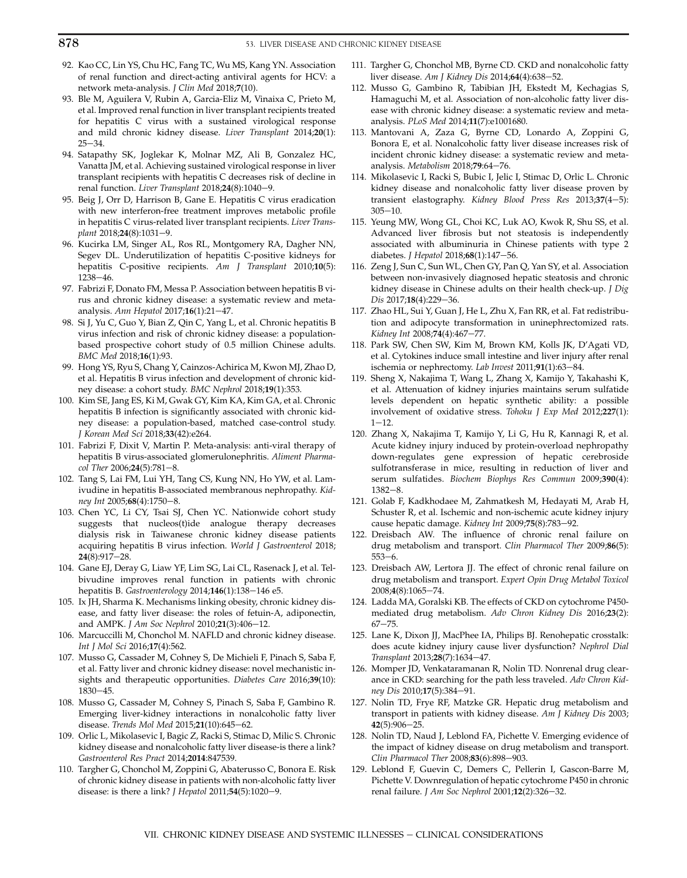- <span id="page-15-0"></span>92. Kao CC, Lin YS, Chu HC, Fang TC, Wu MS, Kang YN. Association of renal function and direct-acting antiviral agents for HCV: a network meta-analysis. J Clin Med 2018;7(10).
- 93. Ble M, Aguilera V, Rubin A, Garcia-Eliz M, Vinaixa C, Prieto M, et al. Improved renal function in liver transplant recipients treated for hepatitis C virus with a sustained virological response and mild chronic kidney disease. Liver Transplant 2014;20(1):  $25 - 34$ .
- 94. Satapathy SK, Joglekar K, Molnar MZ, Ali B, Gonzalez HC, Vanatta JM, et al. Achieving sustained virological response in liver transplant recipients with hepatitis C decreases risk of decline in renal function. Liver Transplant 2018;24(8):1040-9.
- 95. Beig J, Orr D, Harrison B, Gane E. Hepatitis C virus eradication with new interferon-free treatment improves metabolic profile in hepatitis C virus-related liver transplant recipients. Liver Transplant 2018;24(8):1031-9.
- 96. Kucirka LM, Singer AL, Ros RL, Montgomery RA, Dagher NN, Segev DL. Underutilization of hepatitis C-positive kidneys for hepatitis C-positive recipients. Am J Transplant 2010;10(5):  $1238 - 46$ .
- 97. Fabrizi F, Donato FM, Messa P. Association between hepatitis B virus and chronic kidney disease: a systematic review and metaanalysis. Ann Hepatol  $2017;16(1):21-47$ .
- 98. Si J, Yu C, Guo Y, Bian Z, Qin C, Yang L, et al. Chronic hepatitis B virus infection and risk of chronic kidney disease: a populationbased prospective cohort study of 0.5 million Chinese adults. BMC Med 2018;16(1):93.
- 99. Hong YS, Ryu S, Chang Y, Cainzos-Achirica M, Kwon MJ, Zhao D, et al. Hepatitis B virus infection and development of chronic kidney disease: a cohort study. BMC Nephrol 2018;19(1):353.
- 100. Kim SE, Jang ES, Ki M, Gwak GY, Kim KA, Kim GA, et al. Chronic hepatitis B infection is significantly associated with chronic kidney disease: a population-based, matched case-control study. J Korean Med Sci 2018;33(42):e264.
- 101. Fabrizi F, Dixit V, Martin P. Meta-analysis: anti-viral therapy of hepatitis B virus-associated glomerulonephritis. Aliment Pharmacol Ther  $2006;24(5):781-8$ .
- 102. Tang S, Lai FM, Lui YH, Tang CS, Kung NN, Ho YW, et al. Lamivudine in hepatitis B-associated membranous nephropathy. Kidney Int 2005;68(4):1750-8.
- 103. Chen YC, Li CY, Tsai SJ, Chen YC. Nationwide cohort study suggests that nucleos(t)ide analogue therapy decreases dialysis risk in Taiwanese chronic kidney disease patients acquiring hepatitis B virus infection. World J Gastroenterol 2018;  $24(8):917-28.$
- 104. Gane EJ, Deray G, Liaw YF, Lim SG, Lai CL, Rasenack J, et al. Telbivudine improves renal function in patients with chronic hepatitis B. Gastroenterology 2014;146(1):138-146 e5.
- 105. Ix JH, Sharma K. Mechanisms linking obesity, chronic kidney disease, and fatty liver disease: the roles of fetuin-A, adiponectin, and AMPK. J Am Soc Nephrol 2010;21(3):406-12.
- 106. Marcuccilli M, Chonchol M. NAFLD and chronic kidney disease. Int J Mol Sci 2016;17(4):562.
- 107. Musso G, Cassader M, Cohney S, De Michieli F, Pinach S, Saba F, et al. Fatty liver and chronic kidney disease: novel mechanistic insights and therapeutic opportunities. Diabetes Care 2016;39(10):  $1830 - 45.$
- 108. Musso G, Cassader M, Cohney S, Pinach S, Saba F, Gambino R. Emerging liver-kidney interactions in nonalcoholic fatty liver disease. Trends Mol Med 2015;21(10):645-62.
- 109. Orlic L, Mikolasevic I, Bagic Z, Racki S, Stimac D, Milic S. Chronic kidney disease and nonalcoholic fatty liver disease-is there a link? Gastroenterol Res Pract 2014;2014:847539.
- 110. Targher G, Chonchol M, Zoppini G, Abaterusso C, Bonora E. Risk of chronic kidney disease in patients with non-alcoholic fatty liver disease: is there a link? *J Hepatol* 2011;54(5):1020-9.
- 111. Targher G, Chonchol MB, Byrne CD. CKD and nonalcoholic fatty liver disease. Am J Kidney Dis 2014;64(4):638-52.
- 112. Musso G, Gambino R, Tabibian JH, Ekstedt M, Kechagias S, Hamaguchi M, et al. Association of non-alcoholic fatty liver disease with chronic kidney disease: a systematic review and metaanalysis. PLoS Med 2014;11(7):e1001680.
- 113. Mantovani A, Zaza G, Byrne CD, Lonardo A, Zoppini G, Bonora E, et al. Nonalcoholic fatty liver disease increases risk of incident chronic kidney disease: a systematic review and metaanalysis. Metabolism 2018;79:64-76.
- 114. Mikolasevic I, Racki S, Bubic I, Jelic I, Stimac D, Orlic L. Chronic kidney disease and nonalcoholic fatty liver disease proven by transient elastography. Kidney Blood Press Res 2013;37(4-5):  $305 - 10$ .
- 115. Yeung MW, Wong GL, Choi KC, Luk AO, Kwok R, Shu SS, et al. Advanced liver fibrosis but not steatosis is independently associated with albuminuria in Chinese patients with type 2 diabetes. *J Hepatol* 2018;68(1):147-56.
- 116. Zeng J, Sun C, Sun WL, Chen GY, Pan Q, Yan SY, et al. Association between non-invasively diagnosed hepatic steatosis and chronic kidney disease in Chinese adults on their health check-up. J Dig Dis 2017;18(4):229-36.
- 117. Zhao HL, Sui Y, Guan J, He L, Zhu X, Fan RR, et al. Fat redistribution and adipocyte transformation in uninephrectomized rats. Kidney Int 2008;74(4):467-77.
- 118. Park SW, Chen SW, Kim M, Brown KM, Kolls JK, D'Agati VD, et al. Cytokines induce small intestine and liver injury after renal ischemia or nephrectomy. Lab Invest  $2011;91(1):63-84$ .
- 119. Sheng X, Nakajima T, Wang L, Zhang X, Kamijo Y, Takahashi K, et al. Attenuation of kidney injuries maintains serum sulfatide levels dependent on hepatic synthetic ability: a possible involvement of oxidative stress. Tohoku J Exp Med 2012;227(1):  $1 - 12$ .
- 120. Zhang X, Nakajima T, Kamijo Y, Li G, Hu R, Kannagi R, et al. Acute kidney injury induced by protein-overload nephropathy down-regulates gene expression of hepatic cerebroside sulfotransferase in mice, resulting in reduction of liver and serum sulfatides. Biochem Biophys Res Commun 2009;390(4):  $1382 - 8$ .
- 121. Golab F, Kadkhodaee M, Zahmatkesh M, Hedayati M, Arab H, Schuster R, et al. Ischemic and non-ischemic acute kidney injury cause hepatic damage. Kidney Int 2009;75(8):783-92.
- 122. Dreisbach AW. The influence of chronic renal failure on drug metabolism and transport. Clin Pharmacol Ther 2009;86(5): 553e6.
- 123. Dreisbach AW, Lertora JJ. The effect of chronic renal failure on drug metabolism and transport. Expert Opin Drug Metabol Toxicol 2008;4(8):1065-74.
- 124. Ladda MA, Goralski KB. The effects of CKD on cytochrome P450 mediated drug metabolism. Adv Chron Kidney Dis 2016;23(2):  $67 - 75$ .
- 125. Lane K, Dixon JJ, MacPhee IA, Philips BJ. Renohepatic crosstalk: does acute kidney injury cause liver dysfunction? Nephrol Dial Transplant 2013;28(7):1634-47.
- 126. Momper JD, Venkataramanan R, Nolin TD. Nonrenal drug clearance in CKD: searching for the path less traveled. Adv Chron Kidney Dis 2010;17(5):384-91.
- 127. Nolin TD, Frye RF, Matzke GR. Hepatic drug metabolism and transport in patients with kidney disease. Am J Kidney Dis 2003;  $42(5):906 - 25.$
- 128. Nolin TD, Naud J, Leblond FA, Pichette V. Emerging evidence of the impact of kidney disease on drug metabolism and transport. Clin Pharmacol Ther  $2008;83(6):898-903$ .
- 129. Leblond F, Guevin C, Demers C, Pellerin I, Gascon-Barre M, Pichette V. Downregulation of hepatic cytochrome P450 in chronic renal failure. J Am Soc Nephrol  $2001;12(2):326-32$ .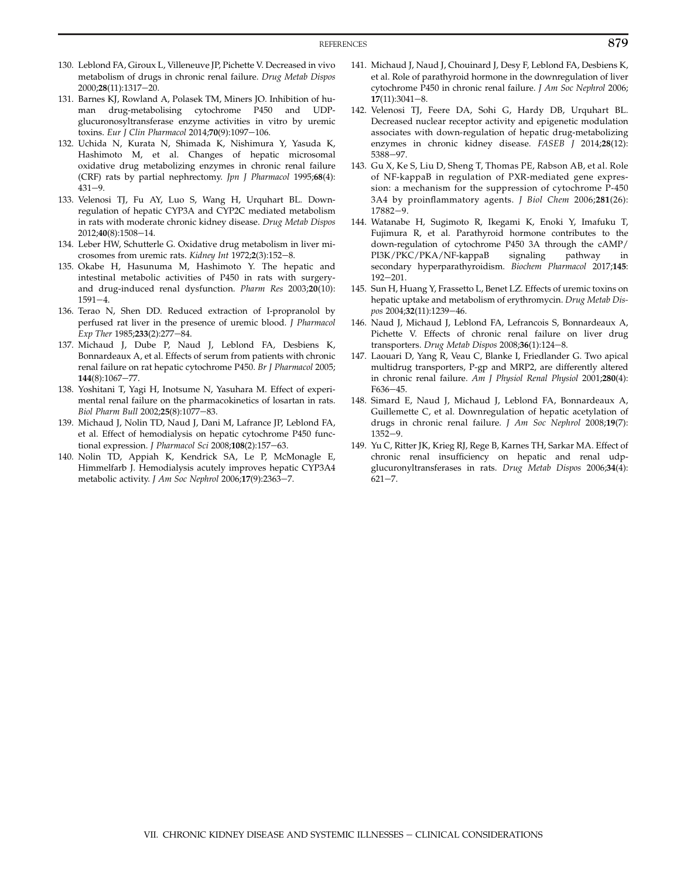- <span id="page-16-0"></span>130. Leblond FA, Giroux L, Villeneuve JP, Pichette V. Decreased in vivo metabolism of drugs in chronic renal failure. Drug Metab Dispos 2000;28(11):1317-20.
- 131. Barnes KJ, Rowland A, Polasek TM, Miners JO. Inhibition of human drug-metabolising cytochrome P450 and UDPglucuronosyltransferase enzyme activities in vitro by uremic toxins. Eur J Clin Pharmacol  $2014;70(9):1097-106$ .
- 132. Uchida N, Kurata N, Shimada K, Nishimura Y, Yasuda K, Hashimoto M, et al. Changes of hepatic microsomal oxidative drug metabolizing enzymes in chronic renal failure (CRF) rats by partial nephrectomy. Jpn J Pharmacol 1995;68(4):  $431 - 9$ .
- 133. Velenosi TJ, Fu AY, Luo S, Wang H, Urquhart BL. Downregulation of hepatic CYP3A and CYP2C mediated metabolism in rats with moderate chronic kidney disease. Drug Metab Dispos 2012;40(8):1508-14.
- 134. Leber HW, Schutterle G. Oxidative drug metabolism in liver microsomes from uremic rats. Kidney Int  $1972;2(3):152-8$ .
- 135. Okabe H, Hasunuma M, Hashimoto Y. The hepatic and intestinal metabolic activities of P450 in rats with surgeryand drug-induced renal dysfunction. Pharm Res 2003;20(10):  $1591 - 4.$
- 136. Terao N, Shen DD. Reduced extraction of I-propranolol by perfused rat liver in the presence of uremic blood. J Pharmacol Exp Ther  $1985;233(2):277-84.$
- 137. Michaud J, Dube P, Naud J, Leblond FA, Desbiens K, Bonnardeaux A, et al. Effects of serum from patients with chronic renal failure on rat hepatic cytochrome P450. Br J Pharmacol 2005; 144(8):1067-77.
- 138. Yoshitani T, Yagi H, Inotsume N, Yasuhara M. Effect of experimental renal failure on the pharmacokinetics of losartan in rats. Biol Pharm Bull 2002;25(8):1077-83.
- 139. Michaud J, Nolin TD, Naud J, Dani M, Lafrance JP, Leblond FA, et al. Effect of hemodialysis on hepatic cytochrome P450 functional expression. J Pharmacol Sci 2008;108(2):157-63.
- 140. Nolin TD, Appiah K, Kendrick SA, Le P, McMonagle E, Himmelfarb J. Hemodialysis acutely improves hepatic CYP3A4 metabolic activity. J Am Soc Nephrol 2006;17(9):2363-7.
- 141. Michaud J, Naud J, Chouinard J, Desy F, Leblond FA, Desbiens K, et al. Role of parathyroid hormone in the downregulation of liver cytochrome P450 in chronic renal failure. J Am Soc Nephrol 2006;  $17(11):3041-8.$
- 142. Velenosi TJ, Feere DA, Sohi G, Hardy DB, Urquhart BL. Decreased nuclear receptor activity and epigenetic modulation associates with down-regulation of hepatic drug-metabolizing enzymes in chronic kidney disease. FASEB J 2014;28(12): 5388e97.
- 143. Gu X, Ke S, Liu D, Sheng T, Thomas PE, Rabson AB, et al. Role of NF-kappaB in regulation of PXR-mediated gene expression: a mechanism for the suppression of cytochrome P-450 3A4 by proinflammatory agents. J Biol Chem 2006;281(26): 17882-9.
- 144. Watanabe H, Sugimoto R, Ikegami K, Enoki Y, Imafuku T, Fujimura R, et al. Parathyroid hormone contributes to the down-regulation of cytochrome P450 3A through the cAMP/<br>PI3K/PKC/PKA/NF-kappaB signaling pathway in PI3K/PKC/PKA/NF-kappaB signaling pathway in secondary hyperparathyroidism. Biochem Pharmacol 2017;145:  $192 - 201.$
- 145. Sun H, Huang Y, Frassetto L, Benet LZ. Effects of uremic toxins on hepatic uptake and metabolism of erythromycin. Drug Metab Dispos 2004;32(11):1239-46.
- 146. Naud J, Michaud J, Leblond FA, Lefrancois S, Bonnardeaux A, Pichette V. Effects of chronic renal failure on liver drug transporters. Drug Metab Dispos 2008;36(1):124-8.
- 147. Laouari D, Yang R, Veau C, Blanke I, Friedlander G. Two apical multidrug transporters, P-gp and MRP2, are differently altered in chronic renal failure. Am J Physiol Renal Physiol 2001;280(4):  $F636 - 45.$
- 148. Simard E, Naud J, Michaud J, Leblond FA, Bonnardeaux A, Guillemette C, et al. Downregulation of hepatic acetylation of drugs in chronic renal failure. *J Am Soc Nephrol* 2008;19(7):  $1352 - 9.$
- 149. Yu C, Ritter JK, Krieg RJ, Rege B, Karnes TH, Sarkar MA. Effect of chronic renal insufficiency on hepatic and renal udpglucuronyltransferases in rats. Drug Metab Dispos 2006;34(4):  $621 - 7.$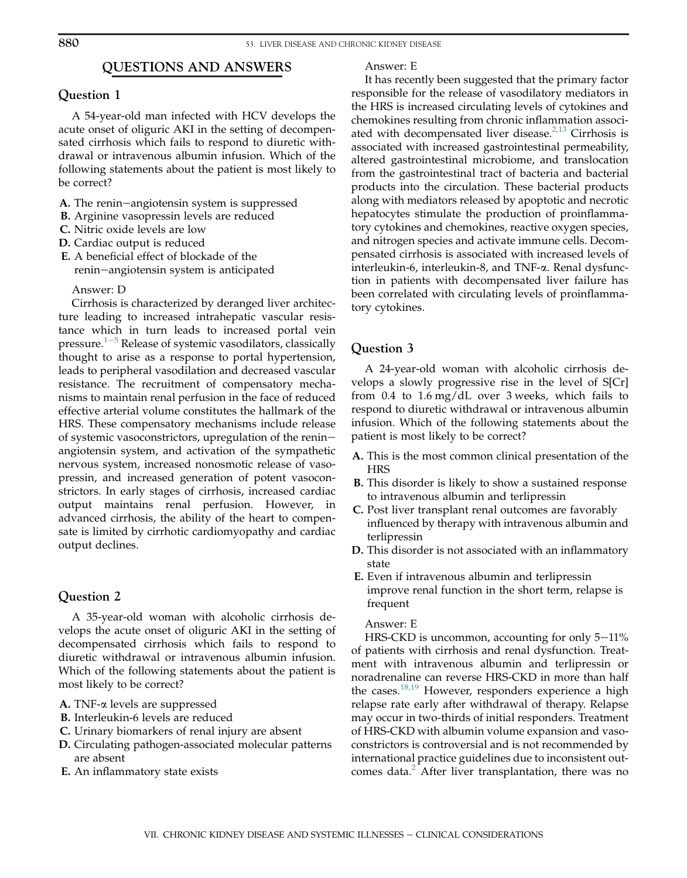### QUESTIONS AND ANSWERS

### Question 1

A 54-year-old man infected with HCV develops the acute onset of oliguric AKI in the setting of decompensated cirrhosis which fails to respond to diuretic withdrawal or intravenous albumin infusion. Which of the following statements about the patient is most likely to be correct?

- A. The renin-angiotensin system is suppressed
- B. Arginine vasopressin levels are reduced
- C. Nitric oxide levels are low
- D. Cardiac output is reduced
- E. A beneficial effect of blockade of the renin-angiotensin system is anticipated

### Answer: D

Cirrhosis is characterized by deranged liver architecture leading to increased intrahepatic vascular resistance which in turn leads to increased portal vein pr[e](#page-12-0)ssure. $1-5$  Release of systemic vasodilators, classically thought to arise as a response to portal hypertension, leads to peripheral vasodilation and decreased vascular resistance. The recruitment of compensatory mechanisms to maintain renal perfusion in the face of reduced effective arterial volume constitutes the hallmark of the HRS. These compensatory mechanisms include release of systemic vasoconstrictors, upregulation of the reninangiotensin system, and activation of the sympathetic nervous system, increased nonosmotic release of vasopressin, and increased generation of potent vasoconstrictors. In early stages of cirrhosis, increased cardiac output maintains renal perfusion. However, in advanced cirrhosis, the ability of the heart to compensate is limited by cirrhotic cardiomyopathy and cardiac output declines.

### Question 2

A 35-year-old woman with alcoholic cirrhosis develops the acute onset of oliguric AKI in the setting of decompensated cirrhosis which fails to respond to diuretic withdrawal or intravenous albumin infusion. Which of the following statements about the patient is most likely to be correct?

### A. TNF-a levels are suppressed

- B. Interleukin-6 levels are reduced
- C. Urinary biomarkers of renal injury are absent
- D. Circulating pathogen-associated molecular patterns are absent
- E. An inflammatory state exists

### Answer: E

It has recently been suggested that the primary factor responsible for the release of vasodilatory mediators in the HRS is increased circulating levels of cytokines and chemokines resulting from chronic inflammation associated with decompensated liver disease. $2,13$  Cirrhosis is associated with increased gastrointestinal permeability, altered gastrointestinal microbiome, and translocation from the gastrointestinal tract of bacteria and bacterial products into the circulation. These bacterial products along with mediators released by apoptotic and necrotic hepatocytes stimulate the production of proinflammatory cytokines and chemokines, reactive oxygen species, and nitrogen species and activate immune cells. Decompensated cirrhosis is associated with increased levels of interleukin-6, interleukin-8, and TNF-a. Renal dysfunction in patients with decompensated liver failure has been correlated with circulating levels of proinflammatory cytokines.

### Question 3

A 24-year-old woman with alcoholic cirrhosis develops a slowly progressive rise in the level of S[Cr] from 0.4 to 1.6 mg/dL over 3 weeks, which fails to respond to diuretic withdrawal or intravenous albumin infusion. Which of the following statements about the patient is most likely to be correct?

- A. This is the most common clinical presentation of the HRS
- B. This disorder is likely to show a sustained response to intravenous albumin and terlipressin
- C. Post liver transplant renal outcomes are favorably influenced by therapy with intravenous albumin and terlipressin
- D. This disorder is not associated with an inflammatory state
- E. Even if intravenous albumin and terlipressin improve renal function in the short term, relapse is frequent

### Answer: E

HRS-CKD is uncommon, accounting for only  $5-11\%$ of patients with cirrhosis and renal dysfunction. Treatment with intravenous albumin and terlipressin or noradrenaline can reverse HRS-CKD in more than half the cases. $^{18,19}$  $^{18,19}$  $^{18,19}$  However, responders experience a high relapse rate early after withdrawal of therapy. Relapse may occur in two-thirds of initial responders. Treatment of HRS-CKD with albumin volume expansion and vasoconstrictors is controversial and is not recommended by international practice guidelines due to inconsistent outcomes data. $\frac{2}{3}$  $\frac{2}{3}$  $\frac{2}{3}$  After liver transplantation, there was no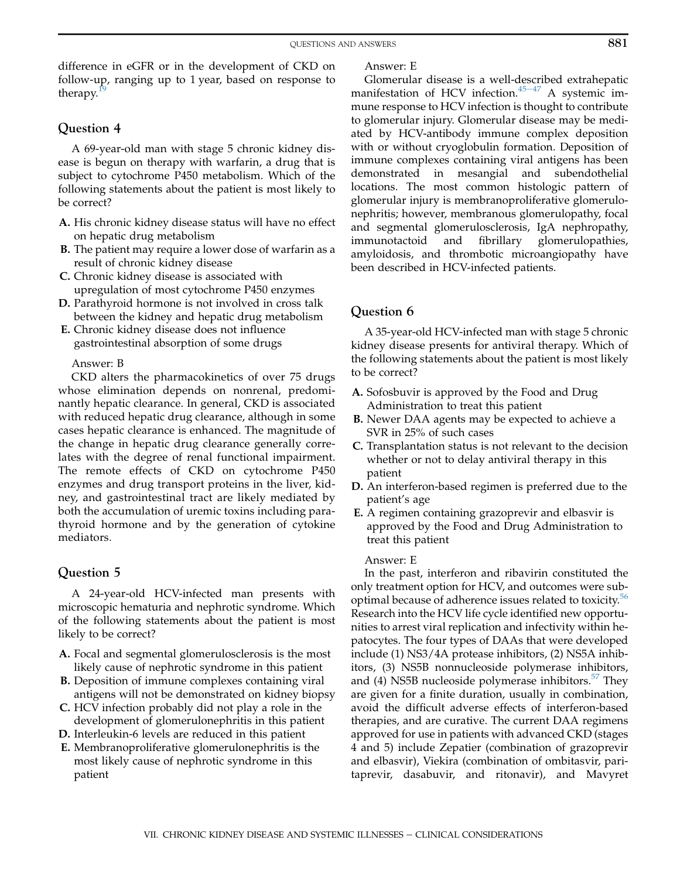difference in eGFR or in the development of CKD on follow-up, ranging up to 1 year, based on response to therapy. $<sup>1</sup>$ </sup>

### Question 4

A 69-year-old man with stage 5 chronic kidney disease is begun on therapy with warfarin, a drug that is subject to cytochrome P450 metabolism. Which of the following statements about the patient is most likely to be correct?

- A. His chronic kidney disease status will have no effect on hepatic drug metabolism
- B. The patient may require a lower dose of warfarin as a result of chronic kidney disease
- C. Chronic kidney disease is associated with upregulation of most cytochrome P450 enzymes
- D. Parathyroid hormone is not involved in cross talk between the kidney and hepatic drug metabolism
- E. Chronic kidney disease does not influence gastrointestinal absorption of some drugs

### Answer: B

CKD alters the pharmacokinetics of over 75 drugs whose elimination depends on nonrenal, predominantly hepatic clearance. In general, CKD is associated with reduced hepatic drug clearance, although in some cases hepatic clearance is enhanced. The magnitude of the change in hepatic drug clearance generally correlates with the degree of renal functional impairment. The remote effects of CKD on cytochrome P450 enzymes and drug transport proteins in the liver, kidney, and gastrointestinal tract are likely mediated by both the accumulation of uremic toxins including parathyroid hormone and by the generation of cytokine mediators.

### Question 5

A 24-year-old HCV-infected man presents with microscopic hematuria and nephrotic syndrome. Which of the following statements about the patient is most likely to be correct?

- A. Focal and segmental glomerulosclerosis is the most likely cause of nephrotic syndrome in this patient
- B. Deposition of immune complexes containing viral antigens will not be demonstrated on kidney biopsy
- C. HCV infection probably did not play a role in the development of glomerulonephritis in this patient
- D. Interleukin-6 levels are reduced in this patient
- E. Membranoproliferative glomerulonephritis is the most likely cause of nephrotic syndrome in this patient

### Answer: E

Glomerular disease is a well-described extrahepatic manifestation of HCV infection. $45-47$  $45-47$  A systemic immune response to HCV infection is thought to contribute to glomerular injury. Glomerular disease may be mediated by HCV-antibody immune complex deposition with or without cryoglobulin formation. Deposition of immune complexes containing viral antigens has been demonstrated in mesangial and subendothelial locations. The most common histologic pattern of glomerular injury is membranoproliferative glomerulonephritis; however, membranous glomerulopathy, focal and segmental glomerulosclerosis, IgA nephropathy, immunotactoid and fibrillary glomerulopathies, amyloidosis, and thrombotic microangiopathy have been described in HCV-infected patients.

### Question 6

A 35-year-old HCV-infected man with stage 5 chronic kidney disease presents for antiviral therapy. Which of the following statements about the patient is most likely to be correct?

- A. Sofosbuvir is approved by the Food and Drug Administration to treat this patient
- B. Newer DAA agents may be expected to achieve a SVR in 25% of such cases
- C. Transplantation status is not relevant to the decision whether or not to delay antiviral therapy in this patient
- D. An interferon-based regimen is preferred due to the patient's age
- E. A regimen containing grazoprevir and elbasvir is approved by the Food and Drug Administration to treat this patient

### Answer: E

In the past, interferon and ribavirin constituted the only treatment option for HCV, and outcomes were sub-optimal because of adherence issues related to toxicity.<sup>[56](#page-13-0)</sup> Research into the HCV life cycle identified new opportunities to arrest viral replication and infectivity within hepatocytes. The four types of DAAs that were developed include (1) NS3/4A protease inhibitors, (2) NS5A inhibitors, (3) NS5B nonnucleoside polymerase inhibitors, and (4) NS5B nucleoside polymerase inhibitors. $57$  They are given for a finite duration, usually in combination, avoid the difficult adverse effects of interferon-based therapies, and are curative. The current DAA regimens approved for use in patients with advanced CKD (stages 4 and 5) include Zepatier (combination of grazoprevir and elbasvir), Viekira (combination of ombitasvir, paritaprevir, dasabuvir, and ritonavir), and Mavyret